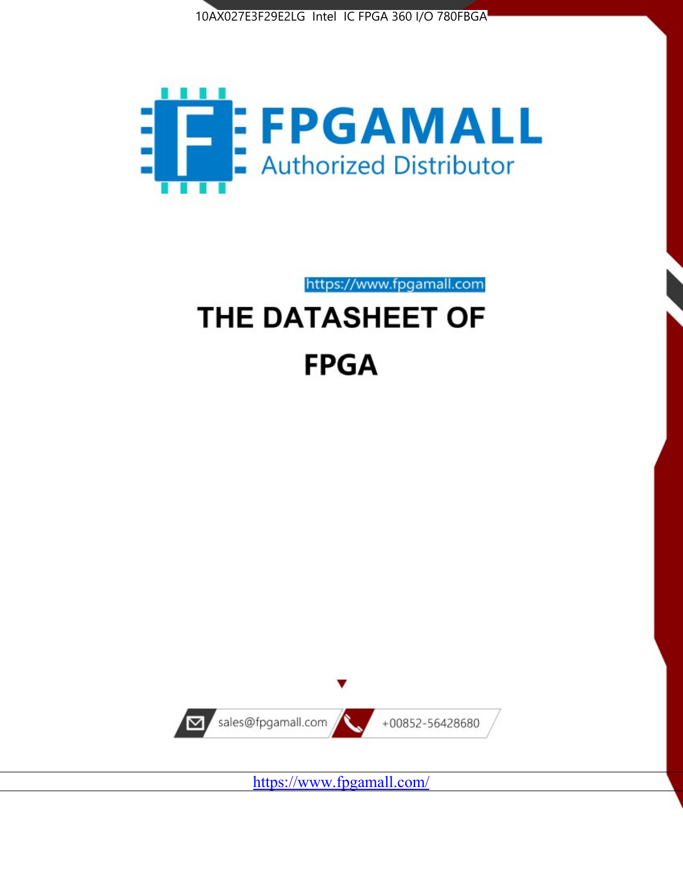



# https://www.fpgamall.com THE DATASHEET OF

# **FPGA**



<https://www.fpgamall.com/>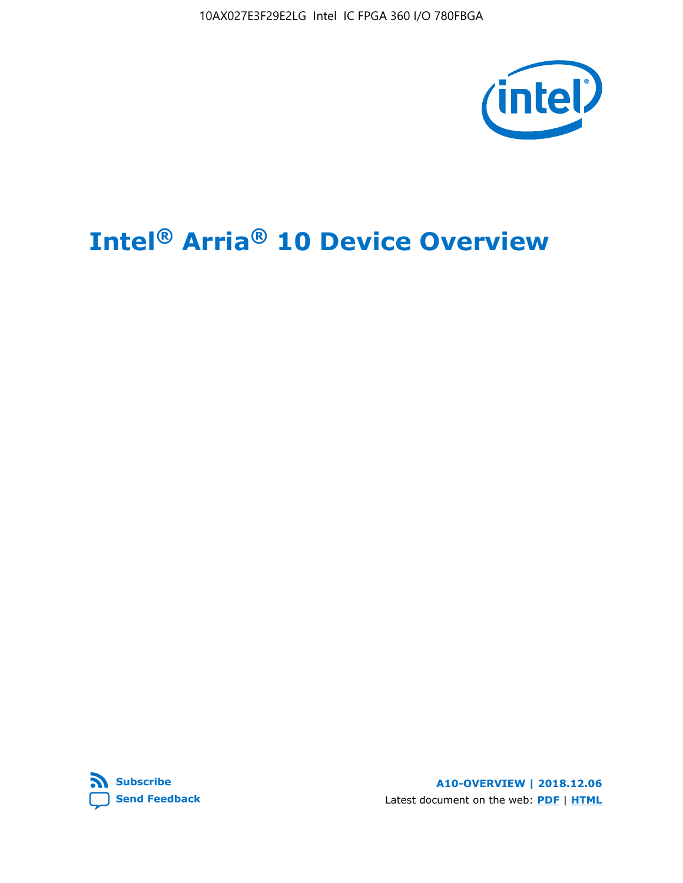10AX027E3F29E2LG Intel IC FPGA 360 I/O 780FBGA



# **Intel® Arria® 10 Device Overview**



**A10-OVERVIEW | 2018.12.06** Latest document on the web: **[PDF](https://www.intel.com/content/dam/www/programmable/us/en/pdfs/literature/hb/arria-10/a10_overview.pdf)** | **[HTML](https://www.intel.com/content/www/us/en/programmable/documentation/sam1403480274650.html)**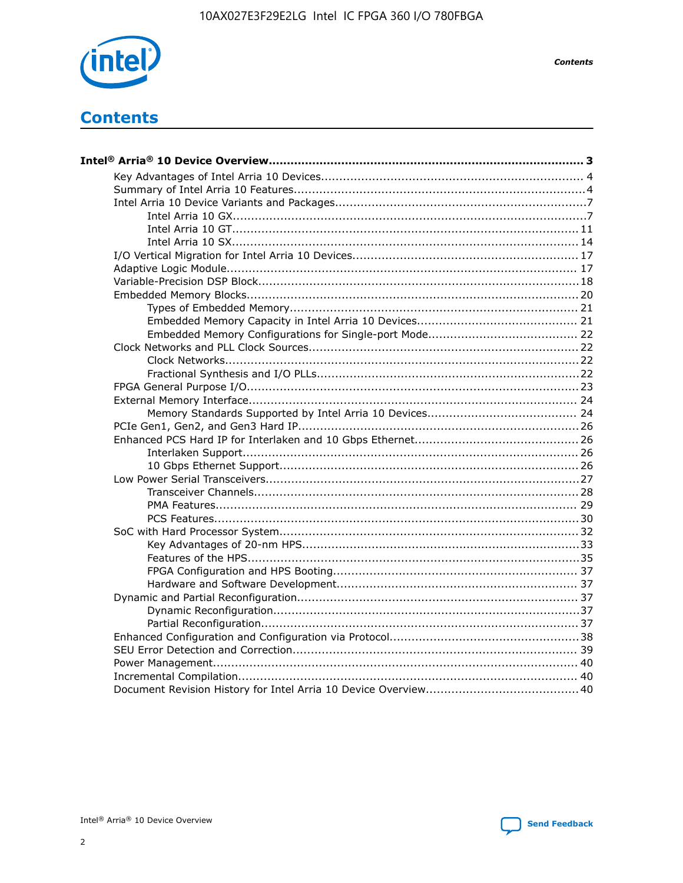

**Contents** 

# **Contents**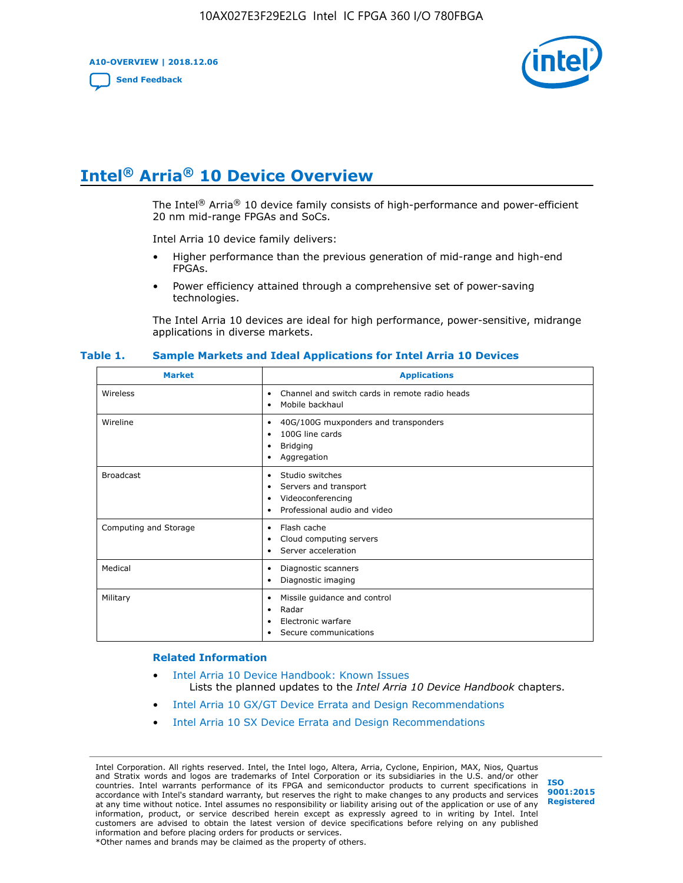**A10-OVERVIEW | 2018.12.06**

**[Send Feedback](mailto:FPGAtechdocfeedback@intel.com?subject=Feedback%20on%20Intel%20Arria%2010%20Device%20Overview%20(A10-OVERVIEW%202018.12.06)&body=We%20appreciate%20your%20feedback.%20In%20your%20comments,%20also%20specify%20the%20page%20number%20or%20paragraph.%20Thank%20you.)**



# **Intel® Arria® 10 Device Overview**

The Intel<sup>®</sup> Arria<sup>®</sup> 10 device family consists of high-performance and power-efficient 20 nm mid-range FPGAs and SoCs.

Intel Arria 10 device family delivers:

- Higher performance than the previous generation of mid-range and high-end FPGAs.
- Power efficiency attained through a comprehensive set of power-saving technologies.

The Intel Arria 10 devices are ideal for high performance, power-sensitive, midrange applications in diverse markets.

| <b>Market</b>         | <b>Applications</b>                                                                                               |
|-----------------------|-------------------------------------------------------------------------------------------------------------------|
| Wireless              | Channel and switch cards in remote radio heads<br>٠<br>Mobile backhaul<br>٠                                       |
| Wireline              | 40G/100G muxponders and transponders<br>٠<br>100G line cards<br>٠<br><b>Bridging</b><br>٠<br>Aggregation<br>٠     |
| <b>Broadcast</b>      | Studio switches<br>٠<br>Servers and transport<br>٠<br>Videoconferencing<br>٠<br>Professional audio and video<br>٠ |
| Computing and Storage | Flash cache<br>٠<br>Cloud computing servers<br>٠<br>Server acceleration<br>٠                                      |
| Medical               | Diagnostic scanners<br>٠<br>Diagnostic imaging<br>٠                                                               |
| Military              | Missile guidance and control<br>٠<br>Radar<br>٠<br>Electronic warfare<br>٠<br>Secure communications<br>٠          |

#### **Table 1. Sample Markets and Ideal Applications for Intel Arria 10 Devices**

#### **Related Information**

- [Intel Arria 10 Device Handbook: Known Issues](http://www.altera.com/support/kdb/solutions/rd07302013_646.html) Lists the planned updates to the *Intel Arria 10 Device Handbook* chapters.
- [Intel Arria 10 GX/GT Device Errata and Design Recommendations](https://www.intel.com/content/www/us/en/programmable/documentation/agz1493851706374.html#yqz1494433888646)
- [Intel Arria 10 SX Device Errata and Design Recommendations](https://www.intel.com/content/www/us/en/programmable/documentation/cru1462832385668.html#cru1462832558642)

Intel Corporation. All rights reserved. Intel, the Intel logo, Altera, Arria, Cyclone, Enpirion, MAX, Nios, Quartus and Stratix words and logos are trademarks of Intel Corporation or its subsidiaries in the U.S. and/or other countries. Intel warrants performance of its FPGA and semiconductor products to current specifications in accordance with Intel's standard warranty, but reserves the right to make changes to any products and services at any time without notice. Intel assumes no responsibility or liability arising out of the application or use of any information, product, or service described herein except as expressly agreed to in writing by Intel. Intel customers are advised to obtain the latest version of device specifications before relying on any published information and before placing orders for products or services. \*Other names and brands may be claimed as the property of others.

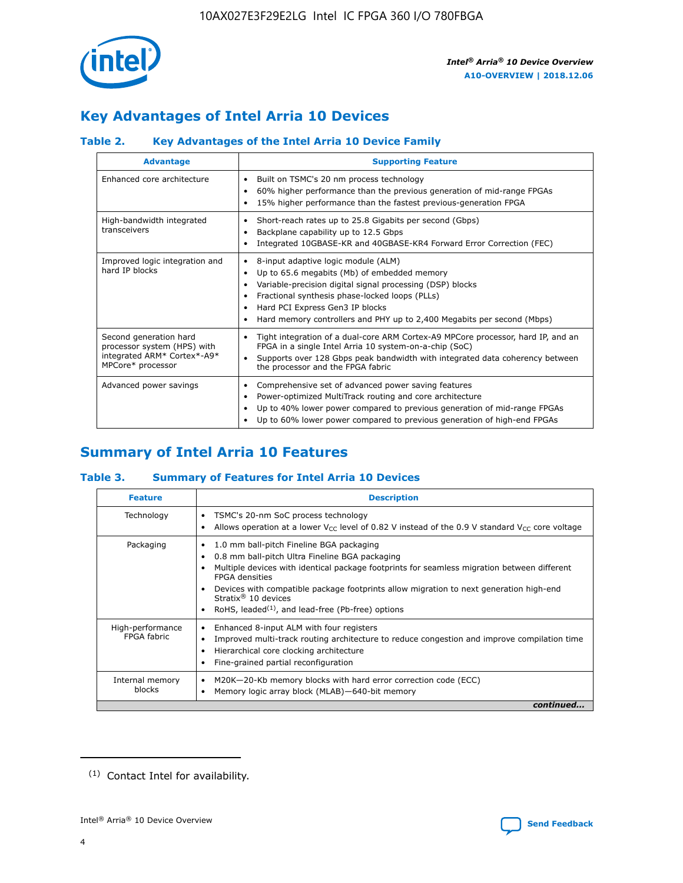

# **Key Advantages of Intel Arria 10 Devices**

# **Table 2. Key Advantages of the Intel Arria 10 Device Family**

| <b>Advantage</b>                                                                                          | <b>Supporting Feature</b>                                                                                                                                                                                                                                                                                                |  |  |  |  |  |
|-----------------------------------------------------------------------------------------------------------|--------------------------------------------------------------------------------------------------------------------------------------------------------------------------------------------------------------------------------------------------------------------------------------------------------------------------|--|--|--|--|--|
| Enhanced core architecture                                                                                | Built on TSMC's 20 nm process technology<br>٠<br>60% higher performance than the previous generation of mid-range FPGAs<br>٠<br>15% higher performance than the fastest previous-generation FPGA<br>٠                                                                                                                    |  |  |  |  |  |
| High-bandwidth integrated<br>transceivers                                                                 | Short-reach rates up to 25.8 Gigabits per second (Gbps)<br>٠<br>Backplane capability up to 12.5 Gbps<br>٠<br>Integrated 10GBASE-KR and 40GBASE-KR4 Forward Error Correction (FEC)<br>٠                                                                                                                                   |  |  |  |  |  |
| Improved logic integration and<br>hard IP blocks                                                          | 8-input adaptive logic module (ALM)<br>٠<br>Up to 65.6 megabits (Mb) of embedded memory<br>٠<br>Variable-precision digital signal processing (DSP) blocks<br>Fractional synthesis phase-locked loops (PLLs)<br>Hard PCI Express Gen3 IP blocks<br>Hard memory controllers and PHY up to 2,400 Megabits per second (Mbps) |  |  |  |  |  |
| Second generation hard<br>processor system (HPS) with<br>integrated ARM* Cortex*-A9*<br>MPCore* processor | Tight integration of a dual-core ARM Cortex-A9 MPCore processor, hard IP, and an<br>٠<br>FPGA in a single Intel Arria 10 system-on-a-chip (SoC)<br>Supports over 128 Gbps peak bandwidth with integrated data coherency between<br>$\bullet$<br>the processor and the FPGA fabric                                        |  |  |  |  |  |
| Advanced power savings                                                                                    | Comprehensive set of advanced power saving features<br>٠<br>Power-optimized MultiTrack routing and core architecture<br>٠<br>Up to 40% lower power compared to previous generation of mid-range FPGAs<br>Up to 60% lower power compared to previous generation of high-end FPGAs                                         |  |  |  |  |  |

# **Summary of Intel Arria 10 Features**

## **Table 3. Summary of Features for Intel Arria 10 Devices**

| <b>Feature</b>                  | <b>Description</b>                                                                                                                                                                                                                                                                                                                                                                                       |
|---------------------------------|----------------------------------------------------------------------------------------------------------------------------------------------------------------------------------------------------------------------------------------------------------------------------------------------------------------------------------------------------------------------------------------------------------|
| Technology                      | TSMC's 20-nm SoC process technology<br>٠<br>Allows operation at a lower $V_{\text{CC}}$ level of 0.82 V instead of the 0.9 V standard $V_{\text{CC}}$ core voltage                                                                                                                                                                                                                                       |
| Packaging                       | 1.0 mm ball-pitch Fineline BGA packaging<br>0.8 mm ball-pitch Ultra Fineline BGA packaging<br>Multiple devices with identical package footprints for seamless migration between different<br><b>FPGA</b> densities<br>Devices with compatible package footprints allow migration to next generation high-end<br>Stratix $\mathcal{R}$ 10 devices<br>RoHS, leaded $(1)$ , and lead-free (Pb-free) options |
| High-performance<br>FPGA fabric | Enhanced 8-input ALM with four registers<br>٠<br>Improved multi-track routing architecture to reduce congestion and improve compilation time<br>Hierarchical core clocking architecture<br>Fine-grained partial reconfiguration                                                                                                                                                                          |
| Internal memory<br>blocks       | M20K-20-Kb memory blocks with hard error correction code (ECC)<br>Memory logic array block (MLAB)-640-bit memory                                                                                                                                                                                                                                                                                         |
|                                 | continued                                                                                                                                                                                                                                                                                                                                                                                                |



<sup>(1)</sup> Contact Intel for availability.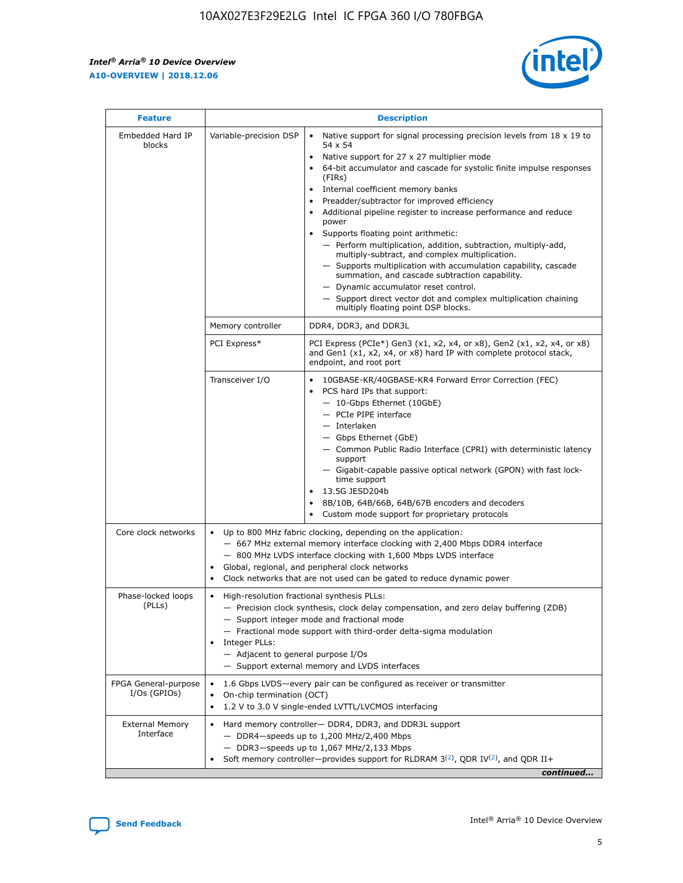$\mathsf{r}$ 



| <b>Feature</b>                         |                                                                                                                | <b>Description</b>                                                                                                                                                                                                                                                                                                                                                                                                                                                                                                                                                                                                                                                                                                                                                                                                                          |
|----------------------------------------|----------------------------------------------------------------------------------------------------------------|---------------------------------------------------------------------------------------------------------------------------------------------------------------------------------------------------------------------------------------------------------------------------------------------------------------------------------------------------------------------------------------------------------------------------------------------------------------------------------------------------------------------------------------------------------------------------------------------------------------------------------------------------------------------------------------------------------------------------------------------------------------------------------------------------------------------------------------------|
| Embedded Hard IP<br>blocks             | Variable-precision DSP                                                                                         | Native support for signal processing precision levels from $18 \times 19$ to<br>$\bullet$<br>54 x 54<br>Native support for 27 x 27 multiplier mode<br>64-bit accumulator and cascade for systolic finite impulse responses<br>(FIRS)<br>Internal coefficient memory banks<br>٠<br>Preadder/subtractor for improved efficiency<br>Additional pipeline register to increase performance and reduce<br>power<br>Supports floating point arithmetic:<br>- Perform multiplication, addition, subtraction, multiply-add,<br>multiply-subtract, and complex multiplication.<br>- Supports multiplication with accumulation capability, cascade<br>summation, and cascade subtraction capability.<br>- Dynamic accumulator reset control.<br>- Support direct vector dot and complex multiplication chaining<br>multiply floating point DSP blocks. |
|                                        | Memory controller                                                                                              | DDR4, DDR3, and DDR3L                                                                                                                                                                                                                                                                                                                                                                                                                                                                                                                                                                                                                                                                                                                                                                                                                       |
|                                        | PCI Express*                                                                                                   | PCI Express (PCIe*) Gen3 (x1, x2, x4, or x8), Gen2 (x1, x2, x4, or x8)<br>and Gen1 (x1, x2, x4, or x8) hard IP with complete protocol stack,<br>endpoint, and root port                                                                                                                                                                                                                                                                                                                                                                                                                                                                                                                                                                                                                                                                     |
|                                        | Transceiver I/O                                                                                                | 10GBASE-KR/40GBASE-KR4 Forward Error Correction (FEC)<br>PCS hard IPs that support:<br>- 10-Gbps Ethernet (10GbE)<br>- PCIe PIPE interface<br>- Interlaken<br>- Gbps Ethernet (GbE)<br>- Common Public Radio Interface (CPRI) with deterministic latency<br>support<br>- Gigabit-capable passive optical network (GPON) with fast lock-<br>time support<br>13.5G JESD204b<br>8B/10B, 64B/66B, 64B/67B encoders and decoders<br>Custom mode support for proprietary protocols                                                                                                                                                                                                                                                                                                                                                                |
| Core clock networks                    | $\bullet$                                                                                                      | Up to 800 MHz fabric clocking, depending on the application:<br>- 667 MHz external memory interface clocking with 2,400 Mbps DDR4 interface<br>- 800 MHz LVDS interface clocking with 1,600 Mbps LVDS interface<br>Global, regional, and peripheral clock networks<br>Clock networks that are not used can be gated to reduce dynamic power                                                                                                                                                                                                                                                                                                                                                                                                                                                                                                 |
| Phase-locked loops<br>(PLLs)           | High-resolution fractional synthesis PLLs:<br>$\bullet$<br>Integer PLLs:<br>- Adjacent to general purpose I/Os | - Precision clock synthesis, clock delay compensation, and zero delay buffering (ZDB)<br>- Support integer mode and fractional mode<br>- Fractional mode support with third-order delta-sigma modulation<br>- Support external memory and LVDS interfaces                                                                                                                                                                                                                                                                                                                                                                                                                                                                                                                                                                                   |
| FPGA General-purpose<br>$I/Os$ (GPIOs) | On-chip termination (OCT)<br>$\bullet$                                                                         | 1.6 Gbps LVDS-every pair can be configured as receiver or transmitter<br>1.2 V to 3.0 V single-ended LVTTL/LVCMOS interfacing                                                                                                                                                                                                                                                                                                                                                                                                                                                                                                                                                                                                                                                                                                               |
| <b>External Memory</b><br>Interface    |                                                                                                                | Hard memory controller- DDR4, DDR3, and DDR3L support<br>$-$ DDR4 $-$ speeds up to 1,200 MHz/2,400 Mbps<br>- DDR3-speeds up to 1,067 MHz/2,133 Mbps<br>Soft memory controller—provides support for RLDRAM $3^{(2)}$ , QDR IV $(2)$ , and QDR II+<br>continued                                                                                                                                                                                                                                                                                                                                                                                                                                                                                                                                                                               |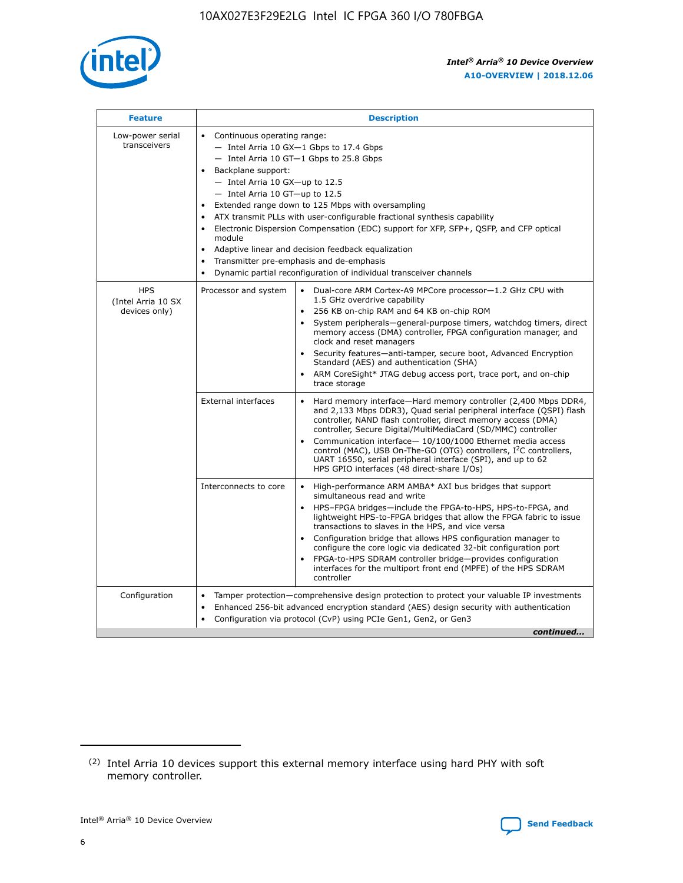

| <b>Feature</b>                                    | <b>Description</b>                                                                                                                                                                                                                                                                                                                                                                                                                                                                                                                                                                                                                                                        |
|---------------------------------------------------|---------------------------------------------------------------------------------------------------------------------------------------------------------------------------------------------------------------------------------------------------------------------------------------------------------------------------------------------------------------------------------------------------------------------------------------------------------------------------------------------------------------------------------------------------------------------------------------------------------------------------------------------------------------------------|
| Low-power serial<br>transceivers                  | • Continuous operating range:<br>- Intel Arria 10 GX-1 Gbps to 17.4 Gbps<br>$-$ Intel Arria 10 GT $-1$ Gbps to 25.8 Gbps<br>Backplane support:<br>$\bullet$<br>$-$ Intel Arria 10 GX-up to 12.5<br>$-$ Intel Arria 10 GT-up to 12.5<br>Extended range down to 125 Mbps with oversampling<br>ATX transmit PLLs with user-configurable fractional synthesis capability<br>Electronic Dispersion Compensation (EDC) support for XFP, SFP+, OSFP, and CFP optical<br>module<br>Adaptive linear and decision feedback equalization<br>$\bullet$<br>Transmitter pre-emphasis and de-emphasis<br>$\bullet$<br>Dynamic partial reconfiguration of individual transceiver channels |
| <b>HPS</b><br>(Intel Arria 10 SX<br>devices only) | Dual-core ARM Cortex-A9 MPCore processor-1.2 GHz CPU with<br>Processor and system<br>$\bullet$<br>1.5 GHz overdrive capability<br>256 KB on-chip RAM and 64 KB on-chip ROM<br>System peripherals-general-purpose timers, watchdog timers, direct<br>memory access (DMA) controller, FPGA configuration manager, and<br>clock and reset managers<br>• Security features—anti-tamper, secure boot, Advanced Encryption<br>Standard (AES) and authentication (SHA)<br>ARM CoreSight* JTAG debug access port, trace port, and on-chip<br>$\bullet$<br>trace storage                                                                                                           |
|                                                   | <b>External interfaces</b><br>Hard memory interface—Hard memory controller (2,400 Mbps DDR4,<br>and 2,133 Mbps DDR3), Quad serial peripheral interface (QSPI) flash<br>controller, NAND flash controller, direct memory access (DMA)<br>controller, Secure Digital/MultiMediaCard (SD/MMC) controller<br>Communication interface-10/100/1000 Ethernet media access<br>$\bullet$<br>control (MAC), USB On-The-GO (OTG) controllers, I <sup>2</sup> C controllers,<br>UART 16550, serial peripheral interface (SPI), and up to 62<br>HPS GPIO interfaces (48 direct-share I/Os)                                                                                             |
|                                                   | Interconnects to core<br>• High-performance ARM AMBA* AXI bus bridges that support<br>simultaneous read and write<br>HPS-FPGA bridges-include the FPGA-to-HPS, HPS-to-FPGA, and<br>$\bullet$<br>lightweight HPS-to-FPGA bridges that allow the FPGA fabric to issue<br>transactions to slaves in the HPS, and vice versa<br>Configuration bridge that allows HPS configuration manager to<br>configure the core logic via dedicated 32-bit configuration port<br>FPGA-to-HPS SDRAM controller bridge-provides configuration<br>interfaces for the multiport front end (MPFE) of the HPS SDRAM<br>controller                                                               |
| Configuration                                     | Tamper protection—comprehensive design protection to protect your valuable IP investments<br>Enhanced 256-bit advanced encryption standard (AES) design security with authentication<br>$\bullet$<br>Configuration via protocol (CvP) using PCIe Gen1, Gen2, or Gen3<br>continued                                                                                                                                                                                                                                                                                                                                                                                         |

<sup>(2)</sup> Intel Arria 10 devices support this external memory interface using hard PHY with soft memory controller.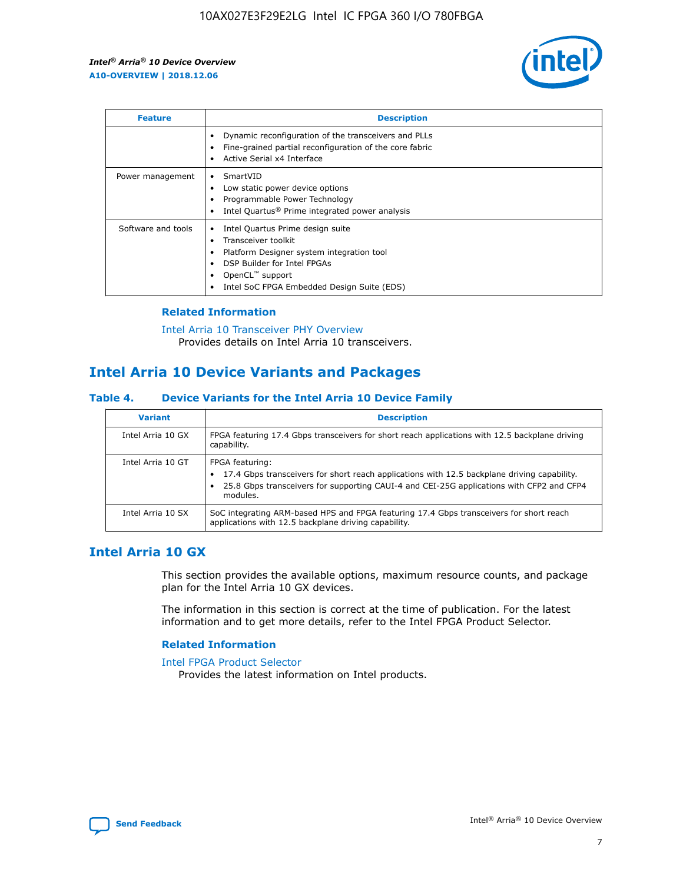

| <b>Feature</b>     | <b>Description</b>                                                                                                                                                                                               |
|--------------------|------------------------------------------------------------------------------------------------------------------------------------------------------------------------------------------------------------------|
|                    | Dynamic reconfiguration of the transceivers and PLLs<br>Fine-grained partial reconfiguration of the core fabric<br>Active Serial x4 Interface                                                                    |
| Power management   | SmartVID<br>Low static power device options<br>Programmable Power Technology<br>Intel Quartus <sup>®</sup> Prime integrated power analysis                                                                       |
| Software and tools | Intel Quartus Prime design suite<br>Transceiver toolkit<br>Platform Designer system integration tool<br>DSP Builder for Intel FPGAs<br>OpenCL <sup>™</sup> support<br>Intel SoC FPGA Embedded Design Suite (EDS) |

## **Related Information**

[Intel Arria 10 Transceiver PHY Overview](https://www.intel.com/content/www/us/en/programmable/documentation/nik1398707230472.html#nik1398706768037) Provides details on Intel Arria 10 transceivers.

# **Intel Arria 10 Device Variants and Packages**

#### **Table 4. Device Variants for the Intel Arria 10 Device Family**

| <b>Variant</b>    | <b>Description</b>                                                                                                                                                                                                     |
|-------------------|------------------------------------------------------------------------------------------------------------------------------------------------------------------------------------------------------------------------|
| Intel Arria 10 GX | FPGA featuring 17.4 Gbps transceivers for short reach applications with 12.5 backplane driving<br>capability.                                                                                                          |
| Intel Arria 10 GT | FPGA featuring:<br>17.4 Gbps transceivers for short reach applications with 12.5 backplane driving capability.<br>25.8 Gbps transceivers for supporting CAUI-4 and CEI-25G applications with CFP2 and CFP4<br>modules. |
| Intel Arria 10 SX | SoC integrating ARM-based HPS and FPGA featuring 17.4 Gbps transceivers for short reach<br>applications with 12.5 backplane driving capability.                                                                        |

# **Intel Arria 10 GX**

This section provides the available options, maximum resource counts, and package plan for the Intel Arria 10 GX devices.

The information in this section is correct at the time of publication. For the latest information and to get more details, refer to the Intel FPGA Product Selector.

#### **Related Information**

#### [Intel FPGA Product Selector](http://www.altera.com/products/selector/psg-selector.html) Provides the latest information on Intel products.

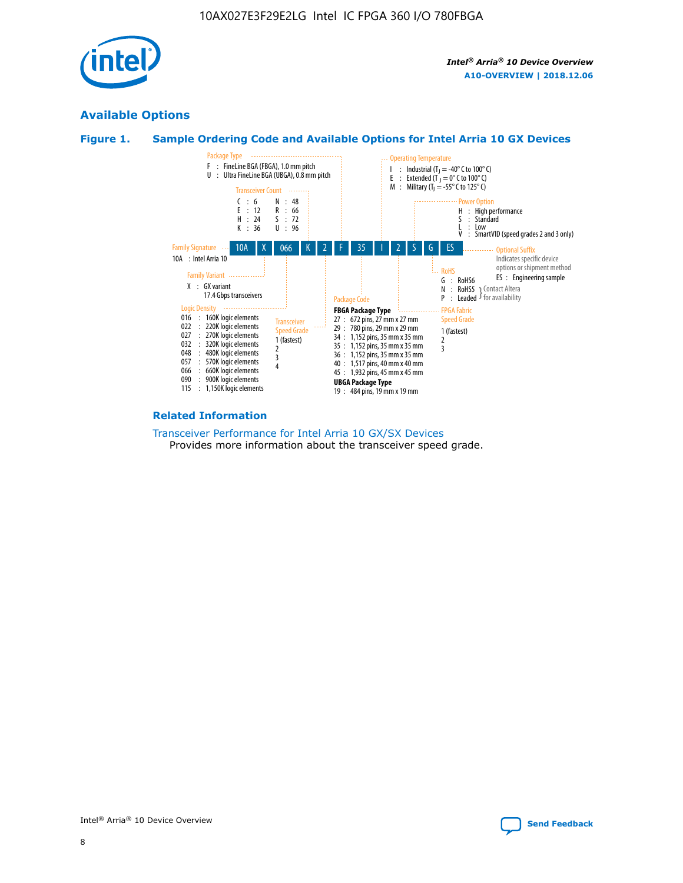

# **Available Options**





#### **Related Information**

[Transceiver Performance for Intel Arria 10 GX/SX Devices](https://www.intel.com/content/www/us/en/programmable/documentation/mcn1413182292568.html#mcn1413213965502) Provides more information about the transceiver speed grade.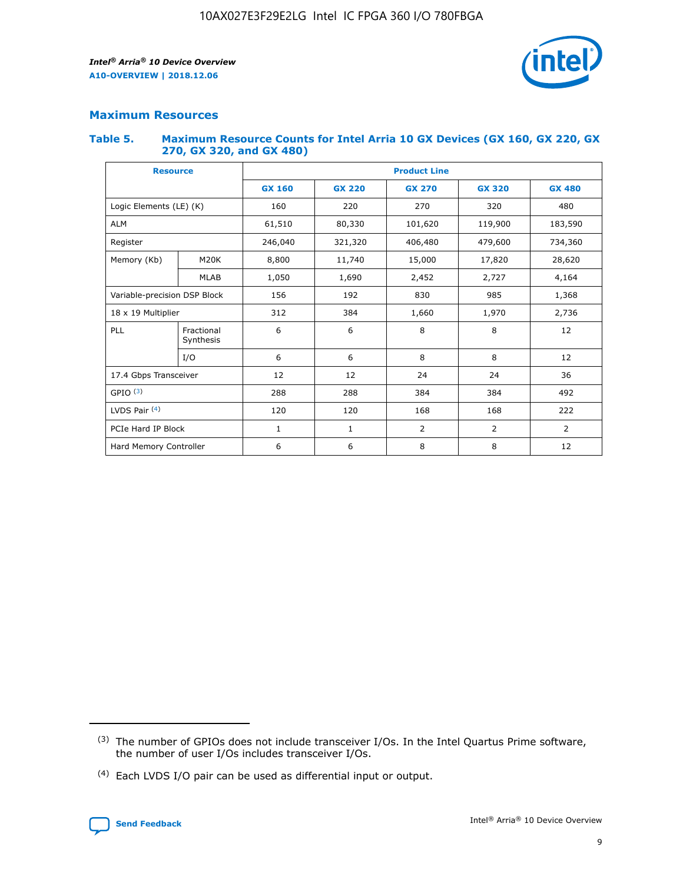

# **Maximum Resources**

#### **Table 5. Maximum Resource Counts for Intel Arria 10 GX Devices (GX 160, GX 220, GX 270, GX 320, and GX 480)**

| <b>Resource</b>              |                         | <b>Product Line</b> |                                |                |                |                |  |  |  |
|------------------------------|-------------------------|---------------------|--------------------------------|----------------|----------------|----------------|--|--|--|
|                              |                         | <b>GX 160</b>       | <b>GX 220</b><br><b>GX 270</b> |                | <b>GX 320</b>  | <b>GX 480</b>  |  |  |  |
| Logic Elements (LE) (K)      |                         | 160                 | 220                            | 270            | 320            | 480            |  |  |  |
| <b>ALM</b>                   |                         | 61,510              | 80,330                         | 101,620        | 119,900        | 183,590        |  |  |  |
| Register                     |                         | 246,040             | 321,320                        | 406,480        |                | 734,360        |  |  |  |
| Memory (Kb)                  | M <sub>20</sub> K       | 8,800               | 11,740                         | 15,000         |                | 28,620         |  |  |  |
| <b>MLAB</b>                  |                         | 1,050               | 1,690                          |                | 2,452<br>2,727 |                |  |  |  |
| Variable-precision DSP Block |                         | 156                 | 192<br>830<br>985              |                |                | 1,368          |  |  |  |
| 18 x 19 Multiplier           |                         | 312                 | 384                            | 1,970<br>1,660 |                | 2,736          |  |  |  |
| PLL                          | Fractional<br>Synthesis | 6                   | 6                              | 8              | 8              | 12             |  |  |  |
|                              | I/O                     | 6                   | 6                              | 8              | 8              | 12             |  |  |  |
| 17.4 Gbps Transceiver        |                         | 12                  | 12                             | 24             | 24             | 36             |  |  |  |
| GPIO <sup>(3)</sup>          |                         | 288                 | 288<br>384                     |                | 384            | 492            |  |  |  |
| LVDS Pair $(4)$              |                         | 120                 | 120                            | 168            | 168            | 222            |  |  |  |
| PCIe Hard IP Block           |                         | $\mathbf{1}$        | 1                              | $\overline{2}$ | $\overline{2}$ | $\overline{2}$ |  |  |  |
| Hard Memory Controller       |                         | 6                   | 6                              | 8              | 8              | 12             |  |  |  |

<sup>(4)</sup> Each LVDS I/O pair can be used as differential input or output.



<sup>(3)</sup> The number of GPIOs does not include transceiver I/Os. In the Intel Quartus Prime software, the number of user I/Os includes transceiver I/Os.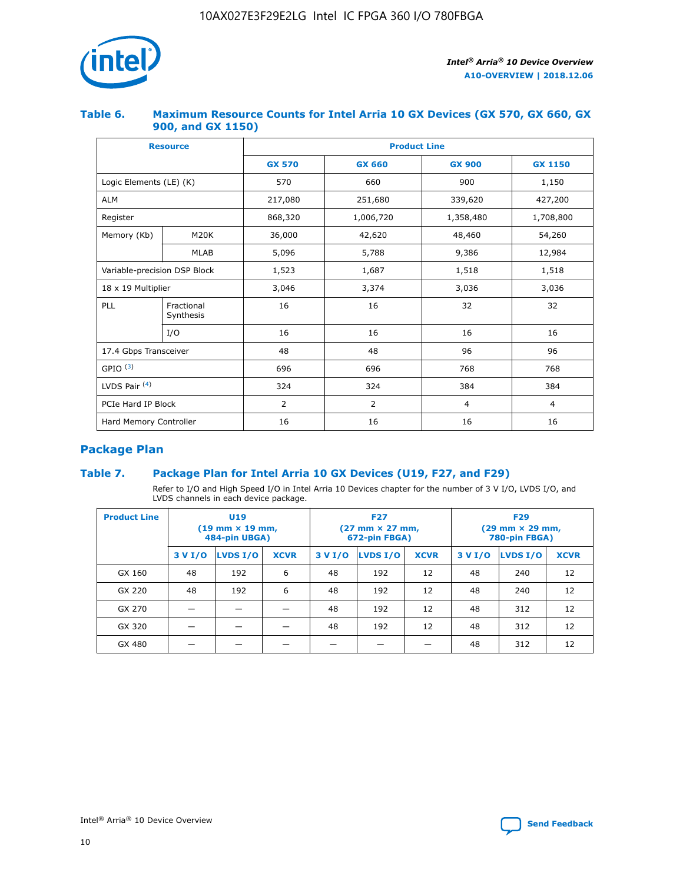

## **Table 6. Maximum Resource Counts for Intel Arria 10 GX Devices (GX 570, GX 660, GX 900, and GX 1150)**

|                              | <b>Resource</b>         | <b>Product Line</b> |                |                |                |  |  |  |
|------------------------------|-------------------------|---------------------|----------------|----------------|----------------|--|--|--|
|                              |                         | <b>GX 570</b>       | <b>GX 660</b>  | <b>GX 900</b>  | <b>GX 1150</b> |  |  |  |
| Logic Elements (LE) (K)      |                         | 570                 | 660            | 900            | 1,150          |  |  |  |
| <b>ALM</b>                   |                         | 217,080             | 251,680        | 339,620        | 427,200        |  |  |  |
| Register                     |                         | 868,320             | 1,006,720      | 1,358,480      | 1,708,800      |  |  |  |
| Memory (Kb)                  | <b>M20K</b>             | 36,000              | 42,620         | 48,460         | 54,260         |  |  |  |
|                              | <b>MLAB</b>             | 5,096               | 5,788          | 9,386          | 12,984         |  |  |  |
| Variable-precision DSP Block |                         | 1,523               | 1,687          | 1,518          | 1,518          |  |  |  |
| $18 \times 19$ Multiplier    |                         | 3,046               | 3,374          | 3,036          | 3,036          |  |  |  |
| PLL                          | Fractional<br>Synthesis | 16                  | 16             | 32             | 32             |  |  |  |
|                              | I/O                     | 16                  | 16             | 16             | 16             |  |  |  |
| 17.4 Gbps Transceiver        |                         | 48                  | 48             | 96             | 96             |  |  |  |
| GPIO <sup>(3)</sup>          |                         | 696                 | 696            | 768            | 768            |  |  |  |
| LVDS Pair $(4)$              |                         | 324                 | 324            | 384            | 384            |  |  |  |
| PCIe Hard IP Block           |                         | 2                   | $\overline{2}$ | $\overline{4}$ | 4              |  |  |  |
| Hard Memory Controller       |                         | 16                  | 16             | 16             | 16             |  |  |  |

# **Package Plan**

# **Table 7. Package Plan for Intel Arria 10 GX Devices (U19, F27, and F29)**

Refer to I/O and High Speed I/O in Intel Arria 10 Devices chapter for the number of 3 V I/O, LVDS I/O, and LVDS channels in each device package.

| <b>Product Line</b> | U <sub>19</sub><br>$(19 \text{ mm} \times 19 \text{ mm})$<br>484-pin UBGA) |          |             |         | <b>F27</b><br>(27 mm × 27 mm,<br>672-pin FBGA) |             | <b>F29</b><br>(29 mm × 29 mm,<br>780-pin FBGA) |          |             |  |
|---------------------|----------------------------------------------------------------------------|----------|-------------|---------|------------------------------------------------|-------------|------------------------------------------------|----------|-------------|--|
|                     | 3 V I/O                                                                    | LVDS I/O | <b>XCVR</b> | 3 V I/O | <b>LVDS I/O</b>                                | <b>XCVR</b> | 3 V I/O                                        | LVDS I/O | <b>XCVR</b> |  |
| GX 160              | 48                                                                         | 192      | 6           | 48      | 192                                            | 12          | 48                                             | 240      | 12          |  |
| GX 220              | 48                                                                         | 192      | 6           | 48      | 192                                            | 12          | 48                                             | 240      | 12          |  |
| GX 270              |                                                                            |          |             | 48      | 192                                            | 12          | 48                                             | 312      | 12          |  |
| GX 320              |                                                                            |          |             | 48      | 192                                            | 12          | 48                                             | 312      | 12          |  |
| GX 480              |                                                                            |          |             |         |                                                |             | 48                                             | 312      | 12          |  |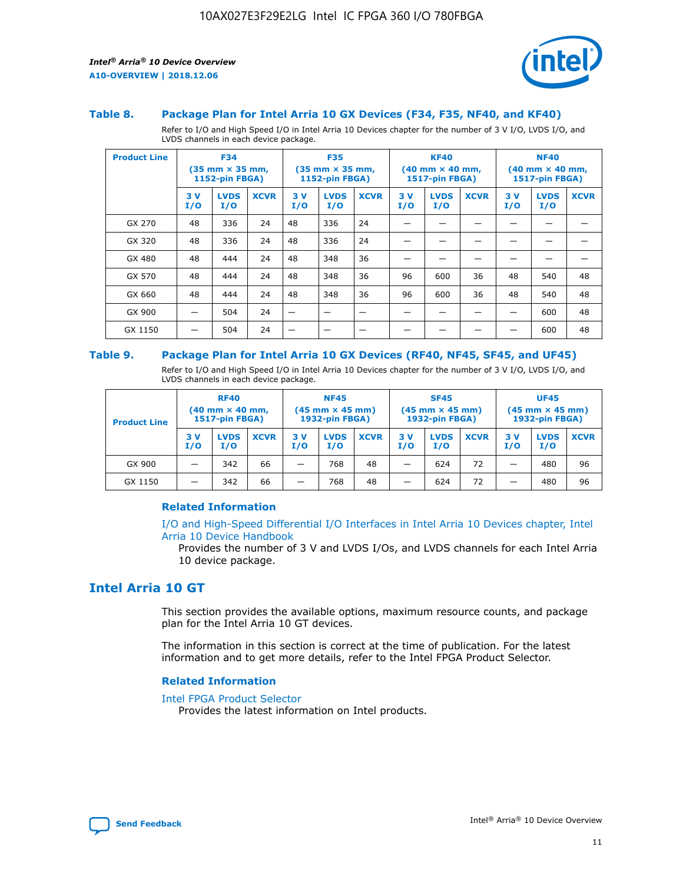

#### **Table 8. Package Plan for Intel Arria 10 GX Devices (F34, F35, NF40, and KF40)**

Refer to I/O and High Speed I/O in Intel Arria 10 Devices chapter for the number of 3 V I/O, LVDS I/O, and LVDS channels in each device package.

| <b>Product Line</b> |           | <b>F34</b><br>$(35 \text{ mm} \times 35 \text{ mm})$<br>1152-pin FBGA) |             | <b>F35</b><br>$(35 \text{ mm} \times 35 \text{ mm})$<br><b>1152-pin FBGA)</b> |                    | <b>KF40</b><br>$(40$ mm $\times$ 40 mm,<br>1517-pin FBGA) |           |                    | <b>NF40</b><br>$(40$ mm $\times$ 40 mm,<br><b>1517-pin FBGA)</b> |            |                    |             |
|---------------------|-----------|------------------------------------------------------------------------|-------------|-------------------------------------------------------------------------------|--------------------|-----------------------------------------------------------|-----------|--------------------|------------------------------------------------------------------|------------|--------------------|-------------|
|                     | 3V<br>I/O | <b>LVDS</b><br>I/O                                                     | <b>XCVR</b> | 3V<br>I/O                                                                     | <b>LVDS</b><br>I/O | <b>XCVR</b>                                               | 3V<br>I/O | <b>LVDS</b><br>I/O | <b>XCVR</b>                                                      | 3 V<br>I/O | <b>LVDS</b><br>I/O | <b>XCVR</b> |
| GX 270              | 48        | 336                                                                    | 24          | 48                                                                            | 336                | 24                                                        |           |                    |                                                                  |            |                    |             |
| GX 320              | 48        | 336                                                                    | 24          | 48                                                                            | 336                | 24                                                        |           |                    |                                                                  |            |                    |             |
| GX 480              | 48        | 444                                                                    | 24          | 48                                                                            | 348                | 36                                                        |           |                    |                                                                  |            |                    |             |
| GX 570              | 48        | 444                                                                    | 24          | 48                                                                            | 348                | 36                                                        | 96        | 600                | 36                                                               | 48         | 540                | 48          |
| GX 660              | 48        | 444                                                                    | 24          | 48                                                                            | 348                | 36                                                        | 96        | 600                | 36                                                               | 48         | 540                | 48          |
| GX 900              |           | 504                                                                    | 24          | -                                                                             |                    |                                                           |           |                    |                                                                  |            | 600                | 48          |
| GX 1150             |           | 504                                                                    | 24          |                                                                               |                    |                                                           |           |                    |                                                                  |            | 600                | 48          |

### **Table 9. Package Plan for Intel Arria 10 GX Devices (RF40, NF45, SF45, and UF45)**

Refer to I/O and High Speed I/O in Intel Arria 10 Devices chapter for the number of 3 V I/O, LVDS I/O, and LVDS channels in each device package.

| <b>Product Line</b> | <b>RF40</b><br>$(40$ mm $\times$ 40 mm,<br>1517-pin FBGA) |                    |             | <b>NF45</b><br>$(45 \text{ mm} \times 45 \text{ mm})$<br><b>1932-pin FBGA)</b> |                    |             | <b>SF45</b><br>$(45 \text{ mm} \times 45 \text{ mm})$<br><b>1932-pin FBGA)</b> |                    |             | <b>UF45</b><br>$(45 \text{ mm} \times 45 \text{ mm})$<br><b>1932-pin FBGA)</b> |                    |             |
|---------------------|-----------------------------------------------------------|--------------------|-------------|--------------------------------------------------------------------------------|--------------------|-------------|--------------------------------------------------------------------------------|--------------------|-------------|--------------------------------------------------------------------------------|--------------------|-------------|
|                     | 3V<br>I/O                                                 | <b>LVDS</b><br>I/O | <b>XCVR</b> | 3 V<br>I/O                                                                     | <b>LVDS</b><br>I/O | <b>XCVR</b> | 3 V<br>I/O                                                                     | <b>LVDS</b><br>I/O | <b>XCVR</b> | 3V<br>I/O                                                                      | <b>LVDS</b><br>I/O | <b>XCVR</b> |
| GX 900              |                                                           | 342                | 66          | _                                                                              | 768                | 48          |                                                                                | 624                | 72          |                                                                                | 480                | 96          |
| GX 1150             |                                                           | 342                | 66          | _                                                                              | 768                | 48          |                                                                                | 624                | 72          |                                                                                | 480                | 96          |

## **Related Information**

[I/O and High-Speed Differential I/O Interfaces in Intel Arria 10 Devices chapter, Intel](https://www.intel.com/content/www/us/en/programmable/documentation/sam1403482614086.html#sam1403482030321) [Arria 10 Device Handbook](https://www.intel.com/content/www/us/en/programmable/documentation/sam1403482614086.html#sam1403482030321)

Provides the number of 3 V and LVDS I/Os, and LVDS channels for each Intel Arria 10 device package.

# **Intel Arria 10 GT**

This section provides the available options, maximum resource counts, and package plan for the Intel Arria 10 GT devices.

The information in this section is correct at the time of publication. For the latest information and to get more details, refer to the Intel FPGA Product Selector.

#### **Related Information**

#### [Intel FPGA Product Selector](http://www.altera.com/products/selector/psg-selector.html)

Provides the latest information on Intel products.

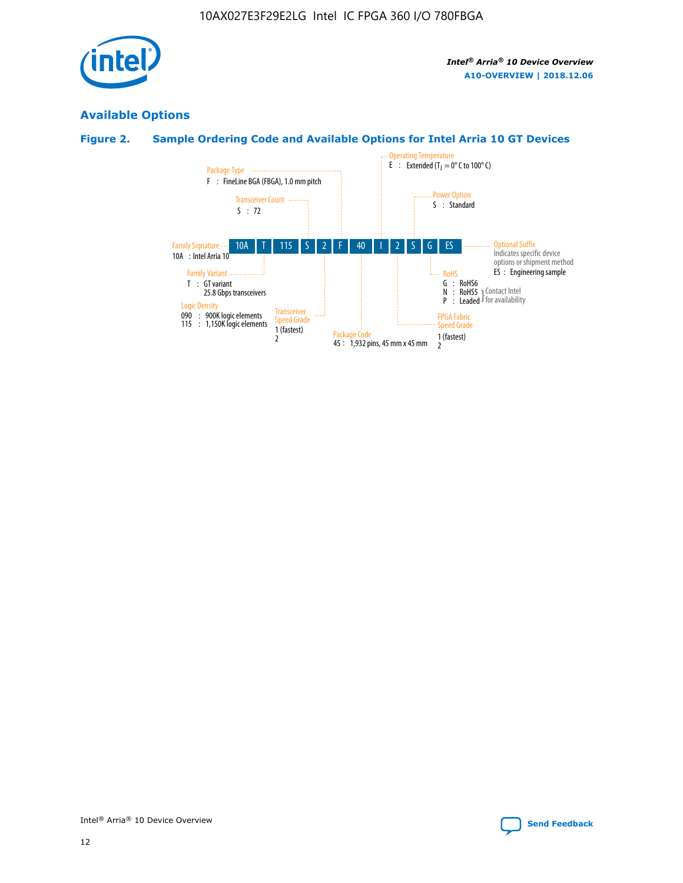

# **Available Options**

# **Figure 2. Sample Ordering Code and Available Options for Intel Arria 10 GT Devices**

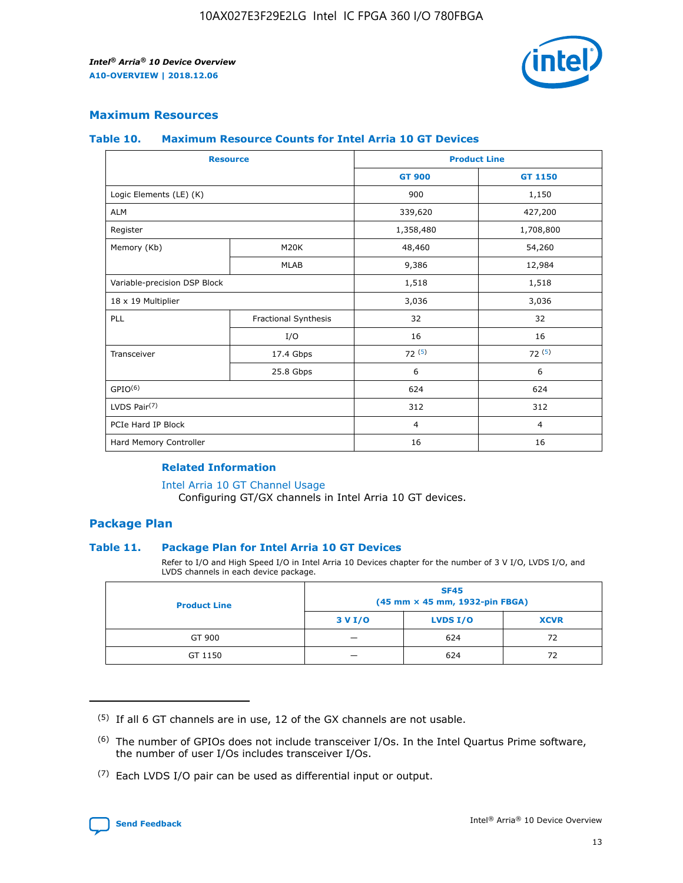

## **Maximum Resources**

#### **Table 10. Maximum Resource Counts for Intel Arria 10 GT Devices**

| <b>Resource</b>              |                      | <b>Product Line</b> |                |  |
|------------------------------|----------------------|---------------------|----------------|--|
|                              |                      | <b>GT 900</b>       | <b>GT 1150</b> |  |
| Logic Elements (LE) (K)      |                      | 900                 | 1,150          |  |
| <b>ALM</b>                   |                      | 339,620             | 427,200        |  |
| Register                     |                      | 1,358,480           | 1,708,800      |  |
| Memory (Kb)                  | M20K                 | 48,460              | 54,260         |  |
|                              | <b>MLAB</b>          | 9,386               | 12,984         |  |
| Variable-precision DSP Block |                      | 1,518               | 1,518          |  |
| 18 x 19 Multiplier           |                      | 3,036               | 3,036          |  |
| PLL                          | Fractional Synthesis | 32                  | 32             |  |
|                              | I/O                  | 16                  | 16             |  |
| Transceiver                  | 17.4 Gbps            | 72(5)               | 72(5)          |  |
|                              | 25.8 Gbps            | 6                   | 6              |  |
| GPIO <sup>(6)</sup>          |                      | 624                 | 624            |  |
| LVDS Pair $(7)$              |                      | 312                 | 312            |  |
| PCIe Hard IP Block           |                      | $\overline{4}$      | $\overline{4}$ |  |
| Hard Memory Controller       |                      | 16                  | 16             |  |

#### **Related Information**

#### [Intel Arria 10 GT Channel Usage](https://www.intel.com/content/www/us/en/programmable/documentation/nik1398707230472.html#nik1398707008178)

Configuring GT/GX channels in Intel Arria 10 GT devices.

## **Package Plan**

## **Table 11. Package Plan for Intel Arria 10 GT Devices**

Refer to I/O and High Speed I/O in Intel Arria 10 Devices chapter for the number of 3 V I/O, LVDS I/O, and LVDS channels in each device package.

| <b>Product Line</b> | <b>SF45</b><br>(45 mm × 45 mm, 1932-pin FBGA) |                 |             |  |  |  |
|---------------------|-----------------------------------------------|-----------------|-------------|--|--|--|
|                     | 3 V I/O                                       | <b>LVDS I/O</b> | <b>XCVR</b> |  |  |  |
| GT 900              |                                               | 624             | 72          |  |  |  |
| GT 1150             |                                               | 624             | 72          |  |  |  |

<sup>(7)</sup> Each LVDS I/O pair can be used as differential input or output.



 $(5)$  If all 6 GT channels are in use, 12 of the GX channels are not usable.

<sup>(6)</sup> The number of GPIOs does not include transceiver I/Os. In the Intel Quartus Prime software, the number of user I/Os includes transceiver I/Os.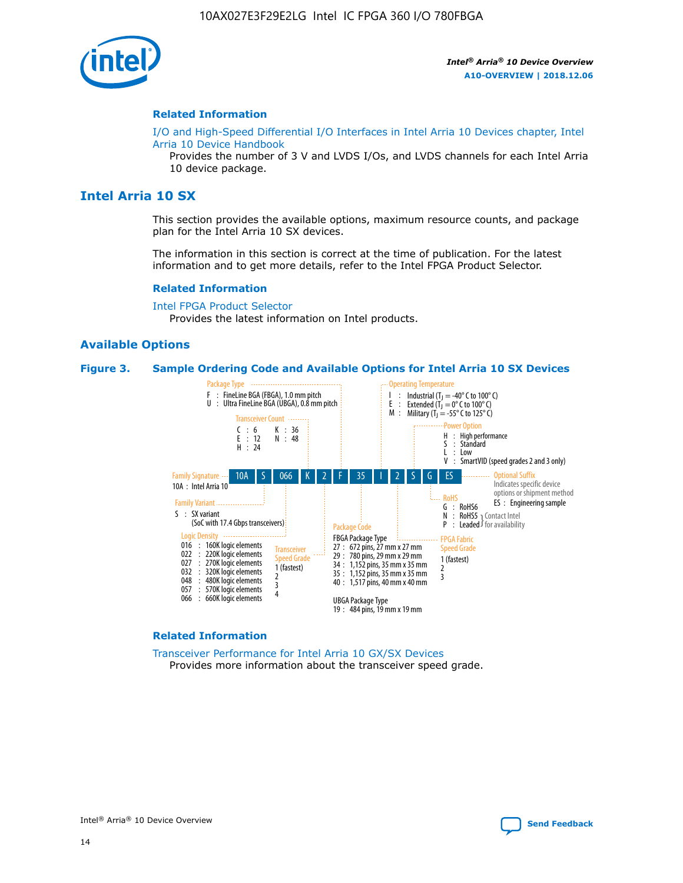

#### **Related Information**

[I/O and High-Speed Differential I/O Interfaces in Intel Arria 10 Devices chapter, Intel](https://www.intel.com/content/www/us/en/programmable/documentation/sam1403482614086.html#sam1403482030321) [Arria 10 Device Handbook](https://www.intel.com/content/www/us/en/programmable/documentation/sam1403482614086.html#sam1403482030321)

Provides the number of 3 V and LVDS I/Os, and LVDS channels for each Intel Arria 10 device package.

# **Intel Arria 10 SX**

This section provides the available options, maximum resource counts, and package plan for the Intel Arria 10 SX devices.

The information in this section is correct at the time of publication. For the latest information and to get more details, refer to the Intel FPGA Product Selector.

#### **Related Information**

[Intel FPGA Product Selector](http://www.altera.com/products/selector/psg-selector.html) Provides the latest information on Intel products.

## **Available Options**

#### **Figure 3. Sample Ordering Code and Available Options for Intel Arria 10 SX Devices**



#### **Related Information**

[Transceiver Performance for Intel Arria 10 GX/SX Devices](https://www.intel.com/content/www/us/en/programmable/documentation/mcn1413182292568.html#mcn1413213965502) Provides more information about the transceiver speed grade.

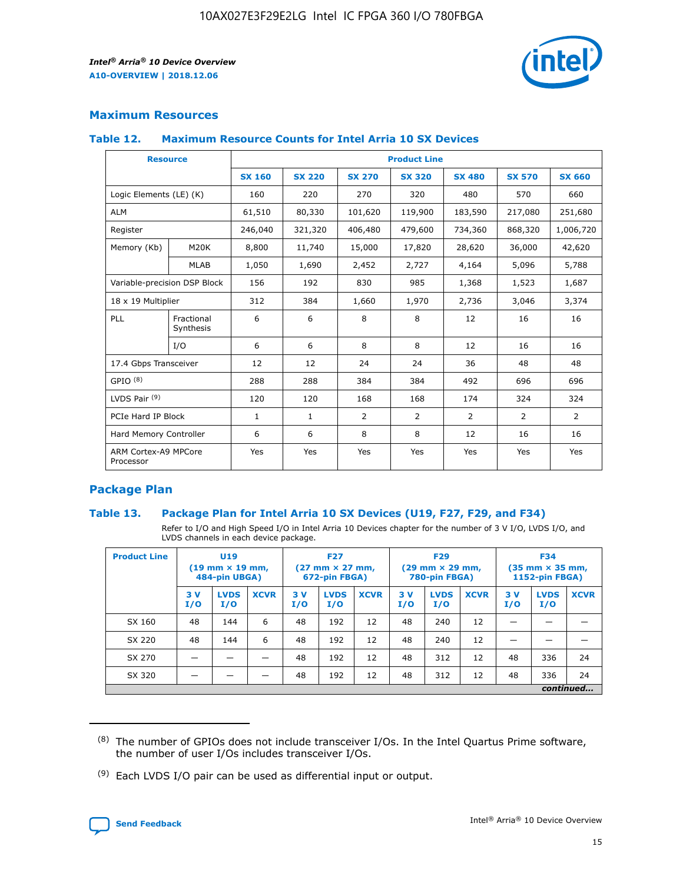

# **Maximum Resources**

## **Table 12. Maximum Resource Counts for Intel Arria 10 SX Devices**

| <b>Resource</b>                   |                         | <b>Product Line</b> |               |                |                |                |                |                |  |  |  |
|-----------------------------------|-------------------------|---------------------|---------------|----------------|----------------|----------------|----------------|----------------|--|--|--|
|                                   |                         | <b>SX 160</b>       | <b>SX 220</b> | <b>SX 270</b>  | <b>SX 320</b>  | <b>SX 480</b>  | <b>SX 570</b>  | <b>SX 660</b>  |  |  |  |
| Logic Elements (LE) (K)           |                         | 160                 | 220           | 270            | 320            | 480            | 570            | 660            |  |  |  |
| <b>ALM</b>                        |                         | 61,510              | 80,330        | 101,620        | 119,900        | 183,590        | 217,080        | 251,680        |  |  |  |
| Register                          |                         | 246,040             | 321,320       | 406,480        | 479,600        | 734,360        | 868,320        | 1,006,720      |  |  |  |
| Memory (Kb)                       | <b>M20K</b>             | 8,800               | 11,740        | 15,000         | 17,820         | 28,620         | 36,000         | 42,620         |  |  |  |
|                                   | <b>MLAB</b>             | 1,050               | 1,690         | 2,452          | 2,727          | 4,164          | 5,096          | 5,788          |  |  |  |
| Variable-precision DSP Block      |                         | 156                 | 192           | 830            | 985            | 1,368          | 1,523          | 1,687          |  |  |  |
| 18 x 19 Multiplier                |                         | 312                 | 384           | 1,660          | 1,970          | 2,736          | 3,046          | 3,374          |  |  |  |
| PLL                               | Fractional<br>Synthesis | 6                   | 6             | 8              | 8              | 12             | 16             | 16             |  |  |  |
|                                   | I/O                     | 6                   | 6             | 8              | 8              | 12             | 16             | 16             |  |  |  |
| 17.4 Gbps Transceiver             |                         | 12                  | 12            | 24             | 24             | 36             | 48             | 48             |  |  |  |
| GPIO <sup>(8)</sup>               |                         | 288                 | 288           | 384            | 384            | 492            | 696            | 696            |  |  |  |
| LVDS Pair $(9)$                   |                         | 120                 | 120           | 168            | 168            | 174            | 324            | 324            |  |  |  |
| PCIe Hard IP Block                |                         | $\mathbf{1}$        | $\mathbf{1}$  | $\overline{2}$ | $\overline{2}$ | $\overline{2}$ | $\overline{2}$ | $\overline{2}$ |  |  |  |
| Hard Memory Controller            |                         | 6                   | 6             | 8              | 8              | 12             | 16             | 16             |  |  |  |
| ARM Cortex-A9 MPCore<br>Processor |                         | Yes                 | Yes           | Yes            | Yes            | Yes            | Yes            | <b>Yes</b>     |  |  |  |

# **Package Plan**

## **Table 13. Package Plan for Intel Arria 10 SX Devices (U19, F27, F29, and F34)**

Refer to I/O and High Speed I/O in Intel Arria 10 Devices chapter for the number of 3 V I/O, LVDS I/O, and LVDS channels in each device package.

| <b>Product Line</b> | <b>U19</b><br>$(19 \text{ mm} \times 19 \text{ mm})$<br>484-pin UBGA) |                    |             | <b>F27</b><br>$(27 \text{ mm} \times 27 \text{ mm})$<br>672-pin FBGA) |                    | <b>F29</b><br>$(29$ mm $\times$ 29 mm,<br>780-pin FBGA) |            |                    | <b>F34</b><br>$(35 \text{ mm} \times 35 \text{ mm})$<br>1152-pin FBGA) |           |                    |             |
|---------------------|-----------------------------------------------------------------------|--------------------|-------------|-----------------------------------------------------------------------|--------------------|---------------------------------------------------------|------------|--------------------|------------------------------------------------------------------------|-----------|--------------------|-------------|
|                     | 3V<br>I/O                                                             | <b>LVDS</b><br>I/O | <b>XCVR</b> | 3V<br>I/O                                                             | <b>LVDS</b><br>I/O | <b>XCVR</b>                                             | 3 V<br>I/O | <b>LVDS</b><br>I/O | <b>XCVR</b>                                                            | 3V<br>I/O | <b>LVDS</b><br>I/O | <b>XCVR</b> |
| SX 160              | 48                                                                    | 144                | 6           | 48                                                                    | 192                | 12                                                      | 48         | 240                | 12                                                                     | –         |                    |             |
| SX 220              | 48                                                                    | 144                | 6           | 48                                                                    | 192                | 12                                                      | 48         | 240                | 12                                                                     |           |                    |             |
| SX 270              |                                                                       |                    |             | 48                                                                    | 192                | 12                                                      | 48         | 312                | 12                                                                     | 48        | 336                | 24          |
| SX 320              |                                                                       |                    |             | 48                                                                    | 192                | 12                                                      | 48         | 312                | 12                                                                     | 48        | 336                | 24          |
|                     | continued                                                             |                    |             |                                                                       |                    |                                                         |            |                    |                                                                        |           |                    |             |

 $(8)$  The number of GPIOs does not include transceiver I/Os. In the Intel Quartus Prime software, the number of user I/Os includes transceiver I/Os.

 $(9)$  Each LVDS I/O pair can be used as differential input or output.

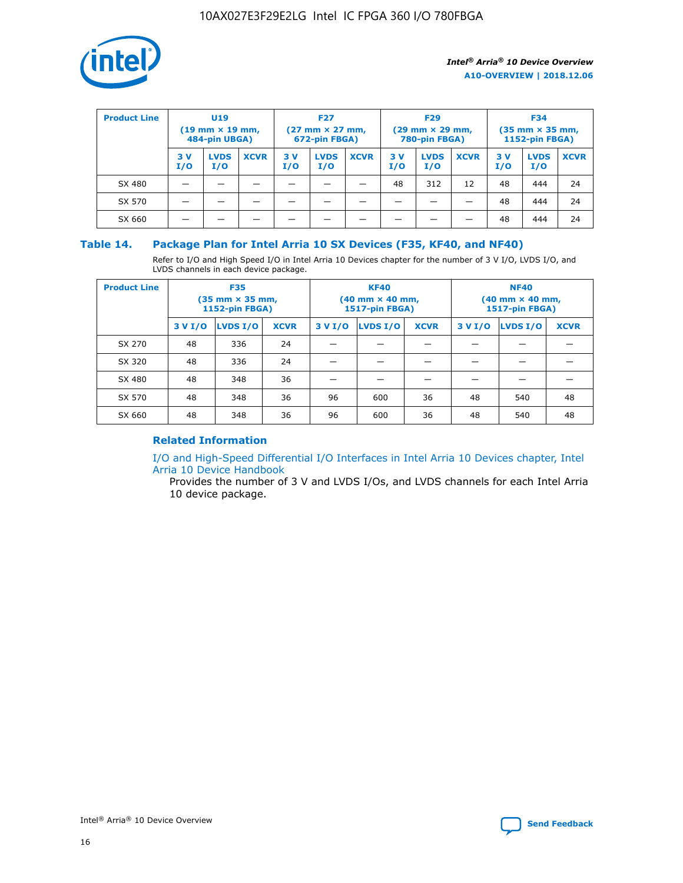

| <b>Product Line</b> | <b>U19</b><br>$(19 \text{ mm} \times 19 \text{ mm})$<br>484-pin UBGA) |                    | <b>F27</b><br>$(27 \text{ mm} \times 27 \text{ mm})$<br>672-pin FBGA) |           | <b>F29</b><br>$(29$ mm $\times$ 29 mm,<br>780-pin FBGA) |             |           | <b>F34</b><br>$(35$ mm $\times$ 35 mm,<br><b>1152-pin FBGA)</b> |             |           |                    |             |
|---------------------|-----------------------------------------------------------------------|--------------------|-----------------------------------------------------------------------|-----------|---------------------------------------------------------|-------------|-----------|-----------------------------------------------------------------|-------------|-----------|--------------------|-------------|
|                     | 3 V<br>I/O                                                            | <b>LVDS</b><br>I/O | <b>XCVR</b>                                                           | 3V<br>I/O | <b>LVDS</b><br>I/O                                      | <b>XCVR</b> | 3V<br>I/O | <b>LVDS</b><br>I/O                                              | <b>XCVR</b> | 3V<br>I/O | <b>LVDS</b><br>I/O | <b>XCVR</b> |
| SX 480              |                                                                       |                    |                                                                       |           |                                                         |             | 48        | 312                                                             | 12          | 48        | 444                | 24          |
| SX 570              |                                                                       |                    |                                                                       |           |                                                         |             |           |                                                                 |             | 48        | 444                | 24          |
| SX 660              |                                                                       |                    |                                                                       |           |                                                         |             |           |                                                                 |             | 48        | 444                | 24          |

## **Table 14. Package Plan for Intel Arria 10 SX Devices (F35, KF40, and NF40)**

Refer to I/O and High Speed I/O in Intel Arria 10 Devices chapter for the number of 3 V I/O, LVDS I/O, and LVDS channels in each device package.

| <b>Product Line</b> | <b>F35</b><br>(35 mm × 35 mm,<br><b>1152-pin FBGA)</b> |          |             |                                           | <b>KF40</b><br>(40 mm × 40 mm,<br>1517-pin FBGA) |    | <b>NF40</b><br>$(40 \text{ mm} \times 40 \text{ mm})$<br>1517-pin FBGA) |          |             |  |
|---------------------|--------------------------------------------------------|----------|-------------|-------------------------------------------|--------------------------------------------------|----|-------------------------------------------------------------------------|----------|-------------|--|
|                     | 3 V I/O                                                | LVDS I/O | <b>XCVR</b> | <b>LVDS I/O</b><br>3 V I/O<br><b>XCVR</b> |                                                  |    | 3 V I/O                                                                 | LVDS I/O | <b>XCVR</b> |  |
| SX 270              | 48                                                     | 336      | 24          |                                           |                                                  |    |                                                                         |          |             |  |
| SX 320              | 48                                                     | 336      | 24          |                                           |                                                  |    |                                                                         |          |             |  |
| SX 480              | 48                                                     | 348      | 36          |                                           |                                                  |    |                                                                         |          |             |  |
| SX 570              | 48                                                     | 348      | 36          | 96                                        | 600                                              | 36 | 48                                                                      | 540      | 48          |  |
| SX 660              | 48                                                     | 348      | 36          | 96                                        | 600                                              | 36 | 48                                                                      | 540      | 48          |  |

# **Related Information**

[I/O and High-Speed Differential I/O Interfaces in Intel Arria 10 Devices chapter, Intel](https://www.intel.com/content/www/us/en/programmable/documentation/sam1403482614086.html#sam1403482030321) [Arria 10 Device Handbook](https://www.intel.com/content/www/us/en/programmable/documentation/sam1403482614086.html#sam1403482030321)

Provides the number of 3 V and LVDS I/Os, and LVDS channels for each Intel Arria 10 device package.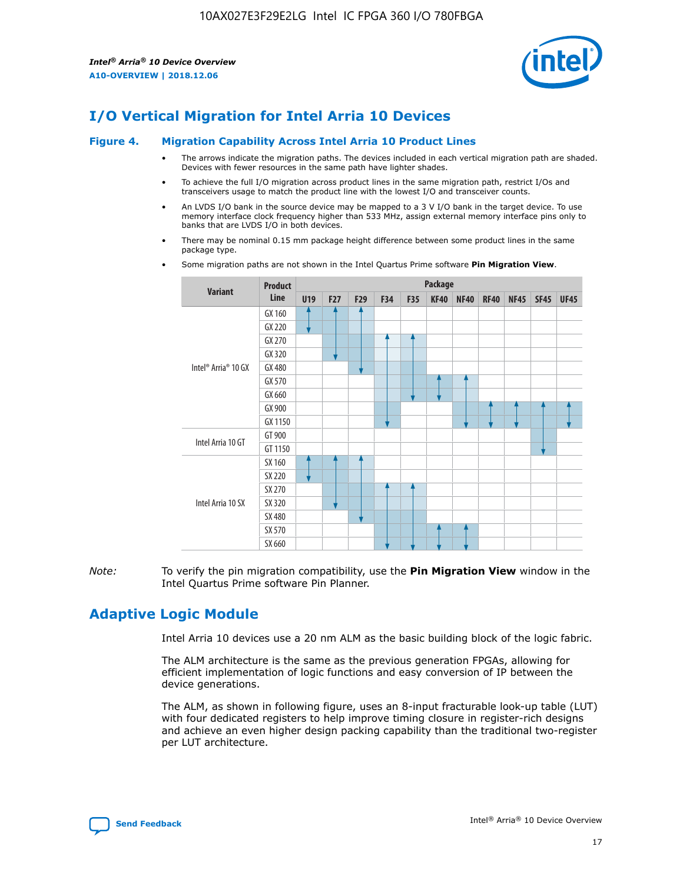

# **I/O Vertical Migration for Intel Arria 10 Devices**

#### **Figure 4. Migration Capability Across Intel Arria 10 Product Lines**

- The arrows indicate the migration paths. The devices included in each vertical migration path are shaded. Devices with fewer resources in the same path have lighter shades.
- To achieve the full I/O migration across product lines in the same migration path, restrict I/Os and transceivers usage to match the product line with the lowest I/O and transceiver counts.
- An LVDS I/O bank in the source device may be mapped to a 3 V I/O bank in the target device. To use memory interface clock frequency higher than 533 MHz, assign external memory interface pins only to banks that are LVDS I/O in both devices.
- There may be nominal 0.15 mm package height difference between some product lines in the same package type.
	- **Variant Product Line Package U19 F27 F29 F34 F35 KF40 NF40 RF40 NF45 SF45 UF45** Intel® Arria® 10 GX GX 160 GX 220 GX 270 GX 320 GX 480 GX 570 GX 660 GX 900 GX 1150 Intel Arria 10 GT GT 900 GT 1150 Intel Arria 10 SX SX 160 SX 220 SX 270 SX 320 SX 480 SX 570 SX 660
- Some migration paths are not shown in the Intel Quartus Prime software **Pin Migration View**.

*Note:* To verify the pin migration compatibility, use the **Pin Migration View** window in the Intel Quartus Prime software Pin Planner.

# **Adaptive Logic Module**

Intel Arria 10 devices use a 20 nm ALM as the basic building block of the logic fabric.

The ALM architecture is the same as the previous generation FPGAs, allowing for efficient implementation of logic functions and easy conversion of IP between the device generations.

The ALM, as shown in following figure, uses an 8-input fracturable look-up table (LUT) with four dedicated registers to help improve timing closure in register-rich designs and achieve an even higher design packing capability than the traditional two-register per LUT architecture.

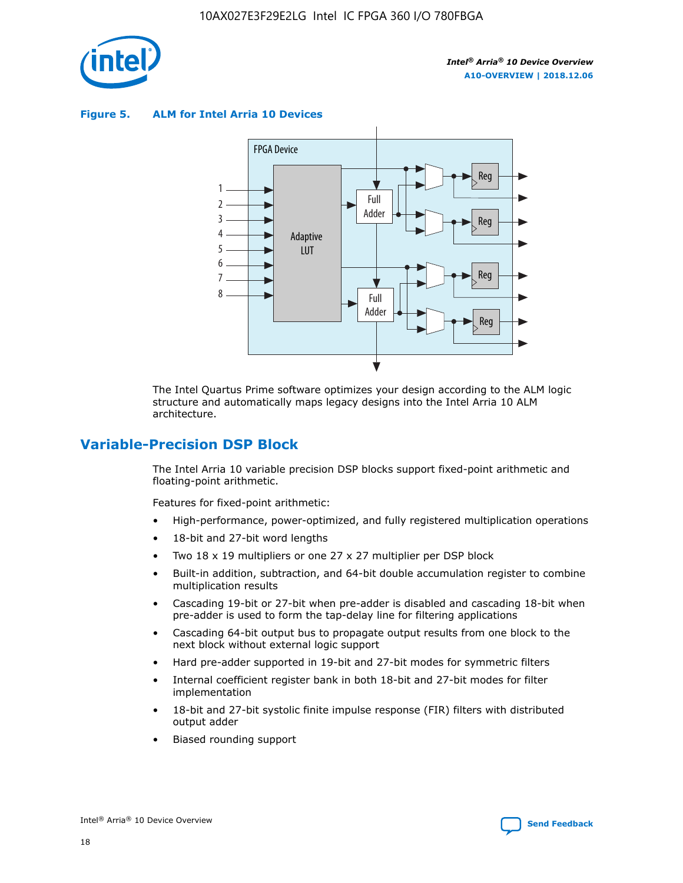

**Figure 5. ALM for Intel Arria 10 Devices**



The Intel Quartus Prime software optimizes your design according to the ALM logic structure and automatically maps legacy designs into the Intel Arria 10 ALM architecture.

# **Variable-Precision DSP Block**

The Intel Arria 10 variable precision DSP blocks support fixed-point arithmetic and floating-point arithmetic.

Features for fixed-point arithmetic:

- High-performance, power-optimized, and fully registered multiplication operations
- 18-bit and 27-bit word lengths
- Two 18 x 19 multipliers or one 27 x 27 multiplier per DSP block
- Built-in addition, subtraction, and 64-bit double accumulation register to combine multiplication results
- Cascading 19-bit or 27-bit when pre-adder is disabled and cascading 18-bit when pre-adder is used to form the tap-delay line for filtering applications
- Cascading 64-bit output bus to propagate output results from one block to the next block without external logic support
- Hard pre-adder supported in 19-bit and 27-bit modes for symmetric filters
- Internal coefficient register bank in both 18-bit and 27-bit modes for filter implementation
- 18-bit and 27-bit systolic finite impulse response (FIR) filters with distributed output adder
- Biased rounding support

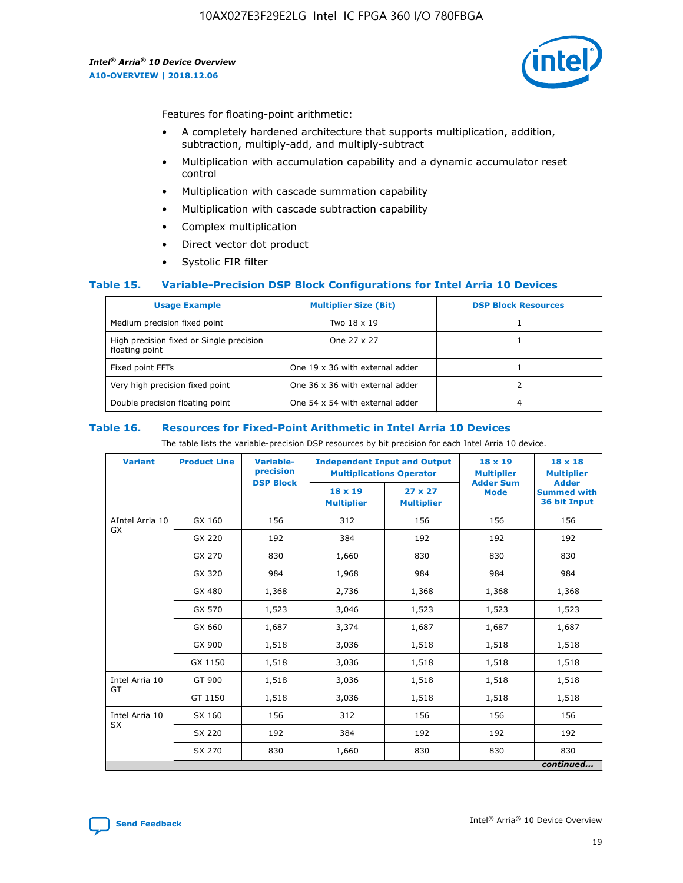

Features for floating-point arithmetic:

- A completely hardened architecture that supports multiplication, addition, subtraction, multiply-add, and multiply-subtract
- Multiplication with accumulation capability and a dynamic accumulator reset control
- Multiplication with cascade summation capability
- Multiplication with cascade subtraction capability
- Complex multiplication
- Direct vector dot product
- Systolic FIR filter

## **Table 15. Variable-Precision DSP Block Configurations for Intel Arria 10 Devices**

| <b>Usage Example</b>                                       | <b>Multiplier Size (Bit)</b>    | <b>DSP Block Resources</b> |
|------------------------------------------------------------|---------------------------------|----------------------------|
| Medium precision fixed point                               | Two 18 x 19                     |                            |
| High precision fixed or Single precision<br>floating point | One 27 x 27                     |                            |
| Fixed point FFTs                                           | One 19 x 36 with external adder |                            |
| Very high precision fixed point                            | One 36 x 36 with external adder |                            |
| Double precision floating point                            | One 54 x 54 with external adder | 4                          |

#### **Table 16. Resources for Fixed-Point Arithmetic in Intel Arria 10 Devices**

The table lists the variable-precision DSP resources by bit precision for each Intel Arria 10 device.

| <b>Variant</b>        | <b>Product Line</b> | <b>Variable-</b><br>precision<br><b>DSP Block</b> | <b>Independent Input and Output</b><br><b>Multiplications Operator</b> |                                     | 18 x 19<br><b>Multiplier</b><br><b>Adder Sum</b> | $18 \times 18$<br><b>Multiplier</b><br><b>Adder</b> |
|-----------------------|---------------------|---------------------------------------------------|------------------------------------------------------------------------|-------------------------------------|--------------------------------------------------|-----------------------------------------------------|
|                       |                     |                                                   | 18 x 19<br><b>Multiplier</b>                                           | $27 \times 27$<br><b>Multiplier</b> | <b>Mode</b>                                      | <b>Summed with</b><br>36 bit Input                  |
| AIntel Arria 10<br>GX | GX 160              | 156                                               | 312                                                                    | 156                                 | 156                                              | 156                                                 |
|                       | GX 220              | 192                                               | 384                                                                    | 192                                 | 192                                              | 192                                                 |
|                       | GX 270              | 830                                               | 1,660                                                                  | 830                                 | 830                                              | 830                                                 |
|                       | GX 320              | 984                                               | 1,968                                                                  | 984                                 | 984                                              | 984                                                 |
|                       | GX 480              | 1,368                                             | 2,736                                                                  | 1,368                               | 1,368                                            | 1,368                                               |
|                       | GX 570              | 1,523                                             | 3,046                                                                  | 1,523                               | 1,523                                            | 1,523                                               |
|                       | GX 660              | 1,687                                             | 3,374                                                                  | 1,687                               | 1,687                                            | 1,687                                               |
|                       | GX 900              | 1,518                                             | 3,036                                                                  | 1,518                               | 1,518                                            | 1,518                                               |
|                       | GX 1150             | 1,518                                             | 3,036                                                                  | 1,518                               | 1,518                                            | 1,518                                               |
| Intel Arria 10        | GT 900              | 1,518                                             | 3,036                                                                  | 1,518                               | 1,518                                            | 1,518                                               |
| GT                    | GT 1150             | 1,518                                             | 3,036                                                                  | 1,518                               | 1,518                                            | 1,518                                               |
| Intel Arria 10        | SX 160              | 156                                               | 312                                                                    | 156                                 | 156                                              | 156                                                 |
| <b>SX</b>             | SX 220              | 192                                               | 384                                                                    | 192                                 | 192                                              | 192                                                 |
|                       | SX 270              | 830                                               | 1,660                                                                  | 830                                 | 830                                              | 830                                                 |
|                       |                     |                                                   |                                                                        |                                     |                                                  | continued                                           |

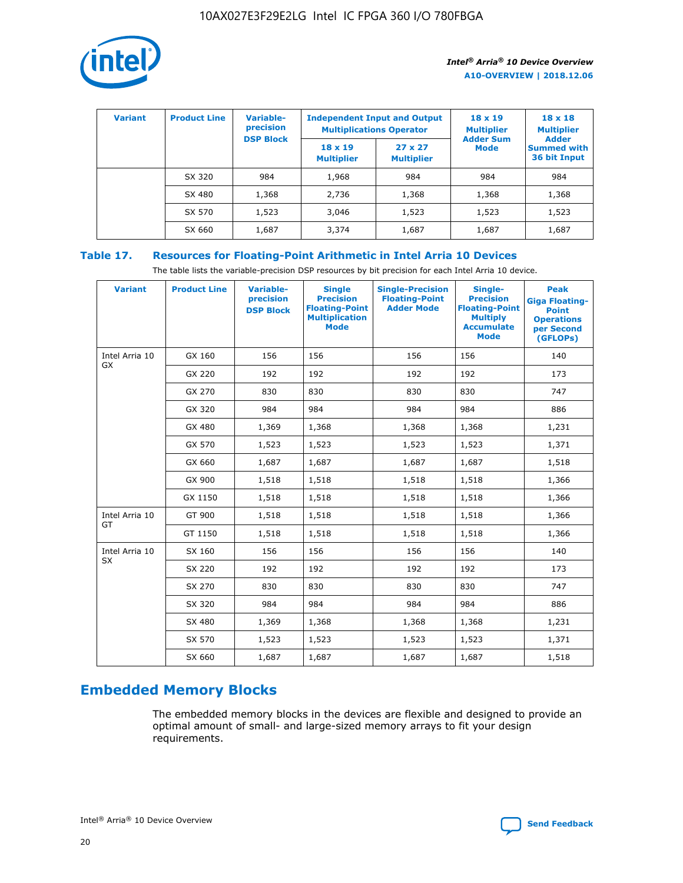

| <b>Variant</b> | <b>Product Line</b> | Variable-<br>precision | <b>Independent Input and Output</b><br><b>Multiplications Operator</b> |                                     | $18 \times 19$<br><b>Multiplier</b> | $18 \times 18$<br><b>Multiplier</b><br><b>Adder</b> |  |
|----------------|---------------------|------------------------|------------------------------------------------------------------------|-------------------------------------|-------------------------------------|-----------------------------------------------------|--|
|                |                     | <b>DSP Block</b>       | $18 \times 19$<br><b>Multiplier</b>                                    | $27 \times 27$<br><b>Multiplier</b> | <b>Adder Sum</b><br><b>Mode</b>     | <b>Summed with</b><br>36 bit Input                  |  |
|                | SX 320              | 984                    | 1,968                                                                  | 984                                 | 984                                 | 984                                                 |  |
|                | SX 480              | 1,368                  | 2,736                                                                  | 1,368                               | 1,368                               | 1,368                                               |  |
|                | SX 570              | 1,523                  | 3,046                                                                  | 1,523                               | 1,523                               | 1,523                                               |  |
|                | SX 660              | 1,687                  | 3,374                                                                  | 1,687                               | 1,687                               | 1,687                                               |  |

# **Table 17. Resources for Floating-Point Arithmetic in Intel Arria 10 Devices**

The table lists the variable-precision DSP resources by bit precision for each Intel Arria 10 device.

| <b>Variant</b> | <b>Product Line</b> | <b>Variable-</b><br>precision<br><b>DSP Block</b> | <b>Single</b><br><b>Precision</b><br><b>Floating-Point</b><br><b>Multiplication</b><br><b>Mode</b> | <b>Single-Precision</b><br><b>Floating-Point</b><br><b>Adder Mode</b> | Single-<br><b>Precision</b><br><b>Floating-Point</b><br><b>Multiply</b><br><b>Accumulate</b><br><b>Mode</b> | <b>Peak</b><br><b>Giga Floating-</b><br><b>Point</b><br><b>Operations</b><br>per Second<br>(GFLOPs) |
|----------------|---------------------|---------------------------------------------------|----------------------------------------------------------------------------------------------------|-----------------------------------------------------------------------|-------------------------------------------------------------------------------------------------------------|-----------------------------------------------------------------------------------------------------|
| Intel Arria 10 | GX 160              | 156                                               | 156                                                                                                | 156                                                                   | 156                                                                                                         | 140                                                                                                 |
| GX             | GX 220              | 192                                               | 192                                                                                                | 192                                                                   | 192                                                                                                         | 173                                                                                                 |
|                | GX 270              | 830                                               | 830                                                                                                | 830                                                                   | 830                                                                                                         | 747                                                                                                 |
|                | GX 320              | 984                                               | 984                                                                                                | 984                                                                   | 984                                                                                                         | 886                                                                                                 |
|                | GX 480              | 1,369                                             | 1,368                                                                                              | 1,368                                                                 | 1,368                                                                                                       | 1,231                                                                                               |
|                | GX 570              | 1,523                                             | 1,523                                                                                              | 1,523                                                                 | 1,523                                                                                                       | 1,371                                                                                               |
|                | GX 660              | 1,687                                             | 1,687                                                                                              | 1,687                                                                 | 1,687                                                                                                       | 1,518                                                                                               |
|                | GX 900              | 1,518                                             | 1,518                                                                                              | 1,518                                                                 | 1,518                                                                                                       | 1,366                                                                                               |
|                | GX 1150             | 1,518                                             | 1,518                                                                                              | 1,518                                                                 | 1,518                                                                                                       | 1,366                                                                                               |
| Intel Arria 10 | GT 900              | 1,518                                             | 1,518                                                                                              | 1,518                                                                 | 1,518                                                                                                       | 1,366                                                                                               |
| GT             | GT 1150             | 1,518                                             | 1,518                                                                                              | 1,518                                                                 | 1,518                                                                                                       | 1,366                                                                                               |
| Intel Arria 10 | SX 160              | 156                                               | 156                                                                                                | 156                                                                   | 156                                                                                                         | 140                                                                                                 |
| <b>SX</b>      | SX 220              | 192                                               | 192                                                                                                | 192                                                                   | 192                                                                                                         | 173                                                                                                 |
|                | SX 270              | 830                                               | 830                                                                                                | 830                                                                   | 830                                                                                                         | 747                                                                                                 |
|                | SX 320              | 984                                               | 984                                                                                                | 984                                                                   | 984                                                                                                         | 886                                                                                                 |
|                | SX 480              | 1,369                                             | 1,368                                                                                              | 1,368                                                                 | 1,368                                                                                                       | 1,231                                                                                               |
|                | SX 570              | 1,523                                             | 1,523                                                                                              | 1,523                                                                 | 1,523                                                                                                       | 1,371                                                                                               |
|                | SX 660              | 1,687                                             | 1,687                                                                                              | 1,687                                                                 | 1,687                                                                                                       | 1,518                                                                                               |

# **Embedded Memory Blocks**

The embedded memory blocks in the devices are flexible and designed to provide an optimal amount of small- and large-sized memory arrays to fit your design requirements.

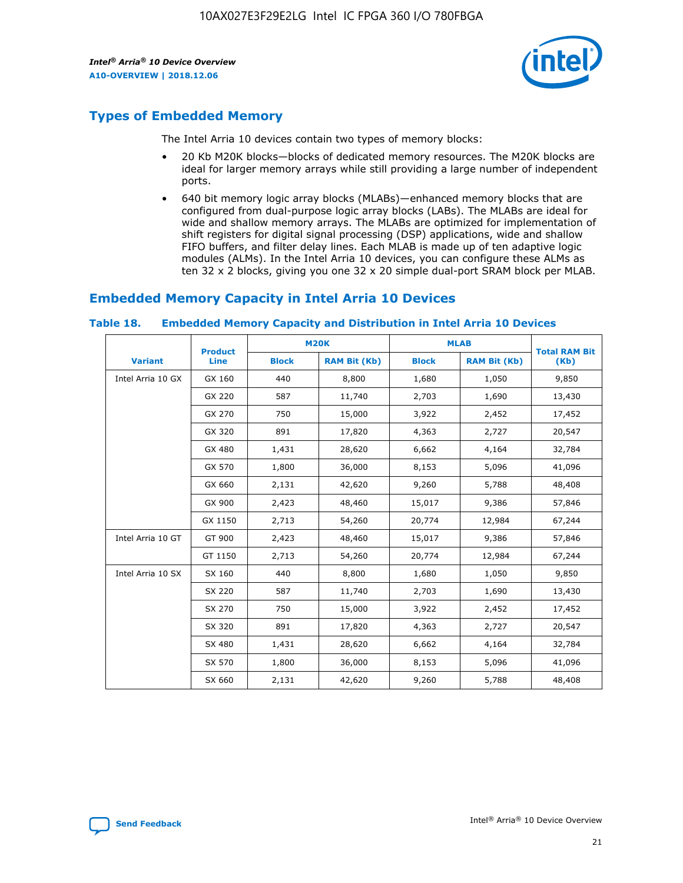

# **Types of Embedded Memory**

The Intel Arria 10 devices contain two types of memory blocks:

- 20 Kb M20K blocks—blocks of dedicated memory resources. The M20K blocks are ideal for larger memory arrays while still providing a large number of independent ports.
- 640 bit memory logic array blocks (MLABs)—enhanced memory blocks that are configured from dual-purpose logic array blocks (LABs). The MLABs are ideal for wide and shallow memory arrays. The MLABs are optimized for implementation of shift registers for digital signal processing (DSP) applications, wide and shallow FIFO buffers, and filter delay lines. Each MLAB is made up of ten adaptive logic modules (ALMs). In the Intel Arria 10 devices, you can configure these ALMs as ten 32 x 2 blocks, giving you one 32 x 20 simple dual-port SRAM block per MLAB.

# **Embedded Memory Capacity in Intel Arria 10 Devices**

|                   | <b>Product</b> |              | <b>M20K</b>         | <b>MLAB</b>  |                     | <b>Total RAM Bit</b> |
|-------------------|----------------|--------------|---------------------|--------------|---------------------|----------------------|
| <b>Variant</b>    | Line           | <b>Block</b> | <b>RAM Bit (Kb)</b> | <b>Block</b> | <b>RAM Bit (Kb)</b> | (Kb)                 |
| Intel Arria 10 GX | GX 160         | 440          | 8,800               | 1,680        | 1,050               | 9,850                |
|                   | GX 220         | 587          | 11,740              | 2,703        | 1,690               | 13,430               |
|                   | GX 270         | 750          | 15,000              | 3,922        | 2,452               | 17,452               |
|                   | GX 320         | 891          | 17,820              | 4,363        | 2,727               | 20,547               |
|                   | GX 480         | 1,431        | 28,620              | 6,662        | 4,164               | 32,784               |
|                   | GX 570         | 1,800        | 36,000              | 8,153        | 5,096               | 41,096               |
|                   | GX 660         | 2,131        | 42,620              | 9,260        | 5,788               | 48,408               |
|                   | GX 900         | 2,423        | 48,460              | 15,017       | 9,386               | 57,846               |
|                   | GX 1150        | 2,713        | 54,260              | 20,774       | 12,984              | 67,244               |
| Intel Arria 10 GT | GT 900         | 2,423        | 48,460              | 15,017       | 9,386               | 57,846               |
|                   | GT 1150        | 2,713        | 54,260              | 20,774       | 12,984              | 67,244               |
| Intel Arria 10 SX | SX 160         | 440          | 8,800               | 1,680        | 1,050               | 9,850                |
|                   | SX 220         | 587          | 11,740              | 2,703        | 1,690               | 13,430               |
|                   | SX 270         | 750          | 15,000              | 3,922        | 2,452               | 17,452               |
|                   | SX 320         | 891          | 17,820              | 4,363        | 2,727               | 20,547               |
|                   | SX 480         | 1,431        | 28,620              | 6,662        | 4,164               | 32,784               |
|                   | SX 570         | 1,800        | 36,000              | 8,153        | 5,096               | 41,096               |
|                   | SX 660         | 2,131        | 42,620              | 9,260        | 5,788               | 48,408               |

#### **Table 18. Embedded Memory Capacity and Distribution in Intel Arria 10 Devices**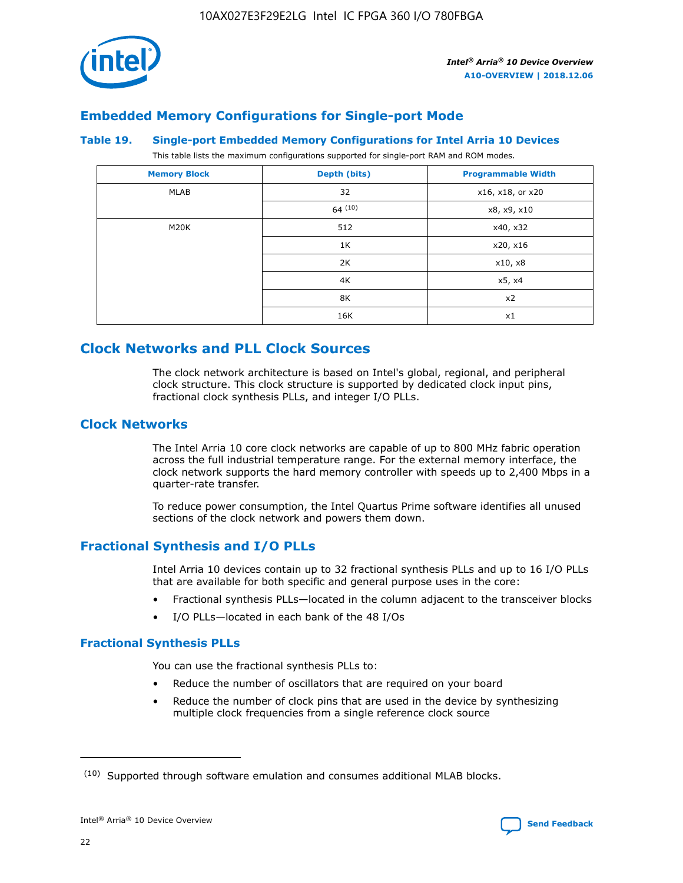

# **Embedded Memory Configurations for Single-port Mode**

#### **Table 19. Single-port Embedded Memory Configurations for Intel Arria 10 Devices**

This table lists the maximum configurations supported for single-port RAM and ROM modes.

| <b>Memory Block</b> | Depth (bits) | <b>Programmable Width</b> |
|---------------------|--------------|---------------------------|
| MLAB                | 32           | x16, x18, or x20          |
|                     | 64(10)       | x8, x9, x10               |
| M20K                | 512          | x40, x32                  |
|                     | 1K           | x20, x16                  |
|                     | 2K           | x10, x8                   |
|                     | 4K           | x5, x4                    |
|                     | 8K           | x2                        |
|                     | 16K          | x1                        |

# **Clock Networks and PLL Clock Sources**

The clock network architecture is based on Intel's global, regional, and peripheral clock structure. This clock structure is supported by dedicated clock input pins, fractional clock synthesis PLLs, and integer I/O PLLs.

# **Clock Networks**

The Intel Arria 10 core clock networks are capable of up to 800 MHz fabric operation across the full industrial temperature range. For the external memory interface, the clock network supports the hard memory controller with speeds up to 2,400 Mbps in a quarter-rate transfer.

To reduce power consumption, the Intel Quartus Prime software identifies all unused sections of the clock network and powers them down.

# **Fractional Synthesis and I/O PLLs**

Intel Arria 10 devices contain up to 32 fractional synthesis PLLs and up to 16 I/O PLLs that are available for both specific and general purpose uses in the core:

- Fractional synthesis PLLs—located in the column adjacent to the transceiver blocks
- I/O PLLs—located in each bank of the 48 I/Os

## **Fractional Synthesis PLLs**

You can use the fractional synthesis PLLs to:

- Reduce the number of oscillators that are required on your board
- Reduce the number of clock pins that are used in the device by synthesizing multiple clock frequencies from a single reference clock source

<sup>(10)</sup> Supported through software emulation and consumes additional MLAB blocks.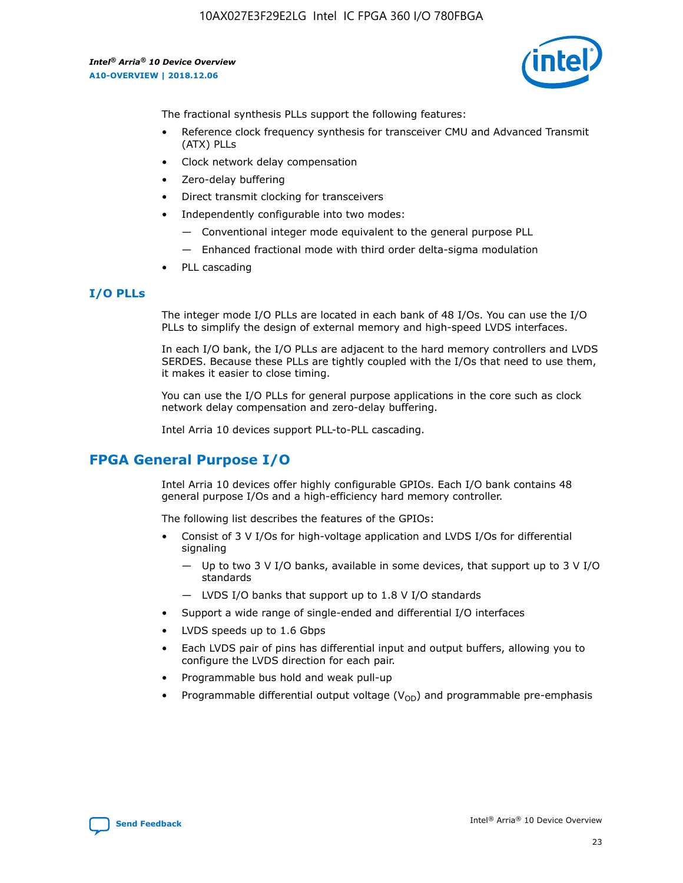

The fractional synthesis PLLs support the following features:

- Reference clock frequency synthesis for transceiver CMU and Advanced Transmit (ATX) PLLs
- Clock network delay compensation
- Zero-delay buffering
- Direct transmit clocking for transceivers
- Independently configurable into two modes:
	- Conventional integer mode equivalent to the general purpose PLL
	- Enhanced fractional mode with third order delta-sigma modulation
- PLL cascading

# **I/O PLLs**

The integer mode I/O PLLs are located in each bank of 48 I/Os. You can use the I/O PLLs to simplify the design of external memory and high-speed LVDS interfaces.

In each I/O bank, the I/O PLLs are adjacent to the hard memory controllers and LVDS SERDES. Because these PLLs are tightly coupled with the I/Os that need to use them, it makes it easier to close timing.

You can use the I/O PLLs for general purpose applications in the core such as clock network delay compensation and zero-delay buffering.

Intel Arria 10 devices support PLL-to-PLL cascading.

# **FPGA General Purpose I/O**

Intel Arria 10 devices offer highly configurable GPIOs. Each I/O bank contains 48 general purpose I/Os and a high-efficiency hard memory controller.

The following list describes the features of the GPIOs:

- Consist of 3 V I/Os for high-voltage application and LVDS I/Os for differential signaling
	- Up to two 3 V I/O banks, available in some devices, that support up to 3 V I/O standards
	- LVDS I/O banks that support up to 1.8 V I/O standards
- Support a wide range of single-ended and differential I/O interfaces
- LVDS speeds up to 1.6 Gbps
- Each LVDS pair of pins has differential input and output buffers, allowing you to configure the LVDS direction for each pair.
- Programmable bus hold and weak pull-up
- Programmable differential output voltage  $(V_{OD})$  and programmable pre-emphasis

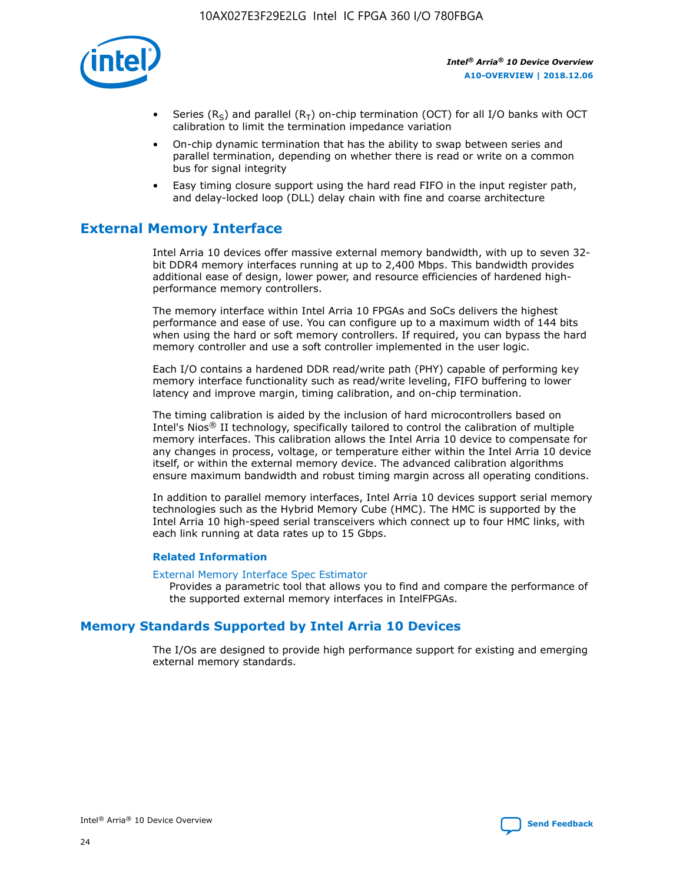

- Series (R<sub>S</sub>) and parallel (R<sub>T</sub>) on-chip termination (OCT) for all I/O banks with OCT calibration to limit the termination impedance variation
- On-chip dynamic termination that has the ability to swap between series and parallel termination, depending on whether there is read or write on a common bus for signal integrity
- Easy timing closure support using the hard read FIFO in the input register path, and delay-locked loop (DLL) delay chain with fine and coarse architecture

# **External Memory Interface**

Intel Arria 10 devices offer massive external memory bandwidth, with up to seven 32 bit DDR4 memory interfaces running at up to 2,400 Mbps. This bandwidth provides additional ease of design, lower power, and resource efficiencies of hardened highperformance memory controllers.

The memory interface within Intel Arria 10 FPGAs and SoCs delivers the highest performance and ease of use. You can configure up to a maximum width of 144 bits when using the hard or soft memory controllers. If required, you can bypass the hard memory controller and use a soft controller implemented in the user logic.

Each I/O contains a hardened DDR read/write path (PHY) capable of performing key memory interface functionality such as read/write leveling, FIFO buffering to lower latency and improve margin, timing calibration, and on-chip termination.

The timing calibration is aided by the inclusion of hard microcontrollers based on Intel's Nios® II technology, specifically tailored to control the calibration of multiple memory interfaces. This calibration allows the Intel Arria 10 device to compensate for any changes in process, voltage, or temperature either within the Intel Arria 10 device itself, or within the external memory device. The advanced calibration algorithms ensure maximum bandwidth and robust timing margin across all operating conditions.

In addition to parallel memory interfaces, Intel Arria 10 devices support serial memory technologies such as the Hybrid Memory Cube (HMC). The HMC is supported by the Intel Arria 10 high-speed serial transceivers which connect up to four HMC links, with each link running at data rates up to 15 Gbps.

## **Related Information**

#### [External Memory Interface Spec Estimator](http://www.altera.com/technology/memory/estimator/mem-emif-index.html)

Provides a parametric tool that allows you to find and compare the performance of the supported external memory interfaces in IntelFPGAs.

# **Memory Standards Supported by Intel Arria 10 Devices**

The I/Os are designed to provide high performance support for existing and emerging external memory standards.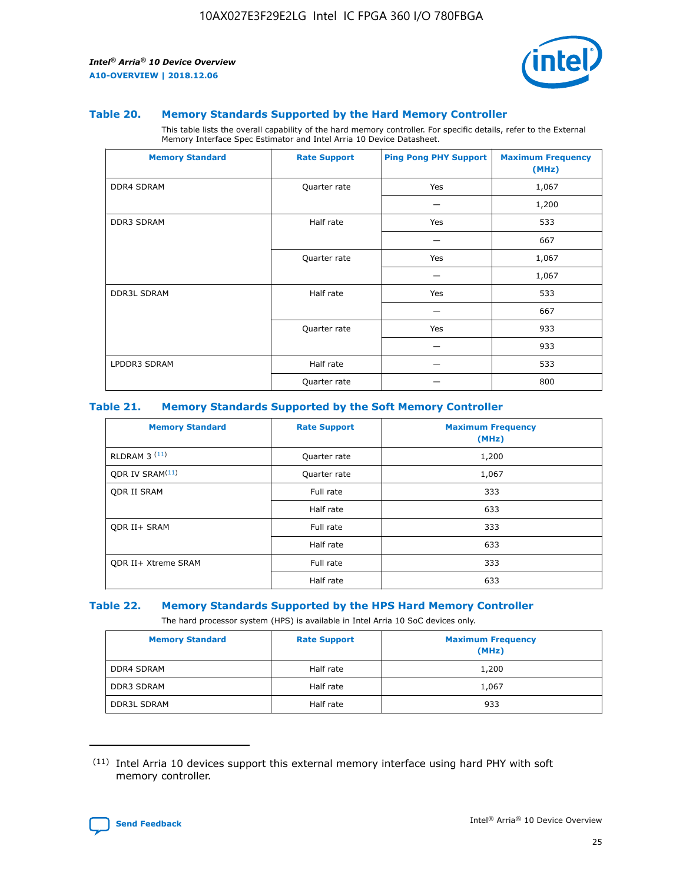

#### **Table 20. Memory Standards Supported by the Hard Memory Controller**

This table lists the overall capability of the hard memory controller. For specific details, refer to the External Memory Interface Spec Estimator and Intel Arria 10 Device Datasheet.

| <b>Memory Standard</b> | <b>Rate Support</b> | <b>Ping Pong PHY Support</b> | <b>Maximum Frequency</b><br>(MHz) |
|------------------------|---------------------|------------------------------|-----------------------------------|
| <b>DDR4 SDRAM</b>      | Quarter rate        | Yes                          | 1,067                             |
|                        |                     |                              | 1,200                             |
| DDR3 SDRAM             | Half rate           | Yes                          | 533                               |
|                        |                     |                              | 667                               |
|                        | Quarter rate        | Yes                          | 1,067                             |
|                        |                     |                              | 1,067                             |
| <b>DDR3L SDRAM</b>     | Half rate           | Yes                          | 533                               |
|                        |                     |                              | 667                               |
|                        | Quarter rate        | Yes                          | 933                               |
|                        |                     |                              | 933                               |
| LPDDR3 SDRAM           | Half rate           |                              | 533                               |
|                        | Quarter rate        |                              | 800                               |

#### **Table 21. Memory Standards Supported by the Soft Memory Controller**

| <b>Memory Standard</b>      | <b>Rate Support</b> | <b>Maximum Frequency</b><br>(MHz) |
|-----------------------------|---------------------|-----------------------------------|
| <b>RLDRAM 3 (11)</b>        | Quarter rate        | 1,200                             |
| ODR IV SRAM <sup>(11)</sup> | Quarter rate        | 1,067                             |
| <b>ODR II SRAM</b>          | Full rate           | 333                               |
|                             | Half rate           | 633                               |
| <b>ODR II+ SRAM</b>         | Full rate           | 333                               |
|                             | Half rate           | 633                               |
| <b>ODR II+ Xtreme SRAM</b>  | Full rate           | 333                               |
|                             | Half rate           | 633                               |

#### **Table 22. Memory Standards Supported by the HPS Hard Memory Controller**

The hard processor system (HPS) is available in Intel Arria 10 SoC devices only.

| <b>Memory Standard</b> | <b>Rate Support</b> | <b>Maximum Frequency</b><br>(MHz) |
|------------------------|---------------------|-----------------------------------|
| <b>DDR4 SDRAM</b>      | Half rate           | 1,200                             |
| <b>DDR3 SDRAM</b>      | Half rate           | 1,067                             |
| <b>DDR3L SDRAM</b>     | Half rate           | 933                               |

<sup>(11)</sup> Intel Arria 10 devices support this external memory interface using hard PHY with soft memory controller.

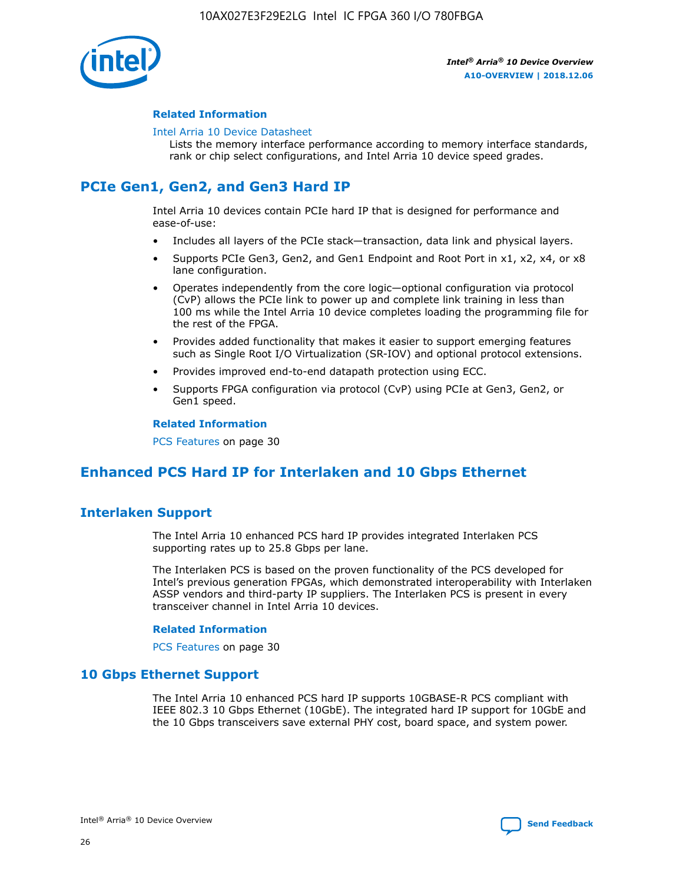

## **Related Information**

#### [Intel Arria 10 Device Datasheet](https://www.intel.com/content/www/us/en/programmable/documentation/mcn1413182292568.html#mcn1413182153340)

Lists the memory interface performance according to memory interface standards, rank or chip select configurations, and Intel Arria 10 device speed grades.

# **PCIe Gen1, Gen2, and Gen3 Hard IP**

Intel Arria 10 devices contain PCIe hard IP that is designed for performance and ease-of-use:

- Includes all layers of the PCIe stack—transaction, data link and physical layers.
- Supports PCIe Gen3, Gen2, and Gen1 Endpoint and Root Port in x1, x2, x4, or x8 lane configuration.
- Operates independently from the core logic—optional configuration via protocol (CvP) allows the PCIe link to power up and complete link training in less than 100 ms while the Intel Arria 10 device completes loading the programming file for the rest of the FPGA.
- Provides added functionality that makes it easier to support emerging features such as Single Root I/O Virtualization (SR-IOV) and optional protocol extensions.
- Provides improved end-to-end datapath protection using ECC.
- Supports FPGA configuration via protocol (CvP) using PCIe at Gen3, Gen2, or Gen1 speed.

#### **Related Information**

PCS Features on page 30

# **Enhanced PCS Hard IP for Interlaken and 10 Gbps Ethernet**

# **Interlaken Support**

The Intel Arria 10 enhanced PCS hard IP provides integrated Interlaken PCS supporting rates up to 25.8 Gbps per lane.

The Interlaken PCS is based on the proven functionality of the PCS developed for Intel's previous generation FPGAs, which demonstrated interoperability with Interlaken ASSP vendors and third-party IP suppliers. The Interlaken PCS is present in every transceiver channel in Intel Arria 10 devices.

## **Related Information**

PCS Features on page 30

# **10 Gbps Ethernet Support**

The Intel Arria 10 enhanced PCS hard IP supports 10GBASE-R PCS compliant with IEEE 802.3 10 Gbps Ethernet (10GbE). The integrated hard IP support for 10GbE and the 10 Gbps transceivers save external PHY cost, board space, and system power.

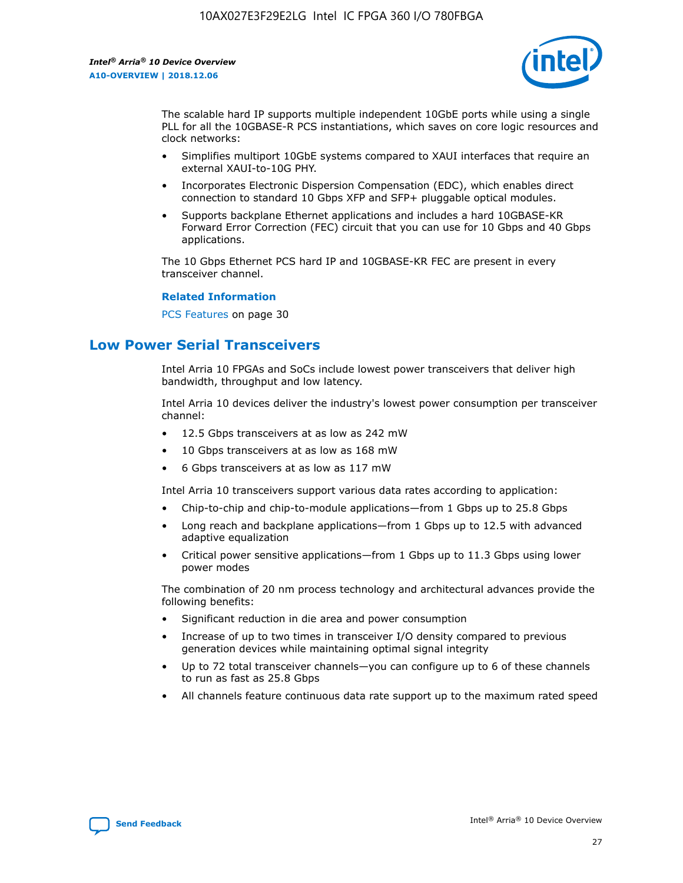

The scalable hard IP supports multiple independent 10GbE ports while using a single PLL for all the 10GBASE-R PCS instantiations, which saves on core logic resources and clock networks:

- Simplifies multiport 10GbE systems compared to XAUI interfaces that require an external XAUI-to-10G PHY.
- Incorporates Electronic Dispersion Compensation (EDC), which enables direct connection to standard 10 Gbps XFP and SFP+ pluggable optical modules.
- Supports backplane Ethernet applications and includes a hard 10GBASE-KR Forward Error Correction (FEC) circuit that you can use for 10 Gbps and 40 Gbps applications.

The 10 Gbps Ethernet PCS hard IP and 10GBASE-KR FEC are present in every transceiver channel.

#### **Related Information**

PCS Features on page 30

# **Low Power Serial Transceivers**

Intel Arria 10 FPGAs and SoCs include lowest power transceivers that deliver high bandwidth, throughput and low latency.

Intel Arria 10 devices deliver the industry's lowest power consumption per transceiver channel:

- 12.5 Gbps transceivers at as low as 242 mW
- 10 Gbps transceivers at as low as 168 mW
- 6 Gbps transceivers at as low as 117 mW

Intel Arria 10 transceivers support various data rates according to application:

- Chip-to-chip and chip-to-module applications—from 1 Gbps up to 25.8 Gbps
- Long reach and backplane applications—from 1 Gbps up to 12.5 with advanced adaptive equalization
- Critical power sensitive applications—from 1 Gbps up to 11.3 Gbps using lower power modes

The combination of 20 nm process technology and architectural advances provide the following benefits:

- Significant reduction in die area and power consumption
- Increase of up to two times in transceiver I/O density compared to previous generation devices while maintaining optimal signal integrity
- Up to 72 total transceiver channels—you can configure up to 6 of these channels to run as fast as 25.8 Gbps
- All channels feature continuous data rate support up to the maximum rated speed

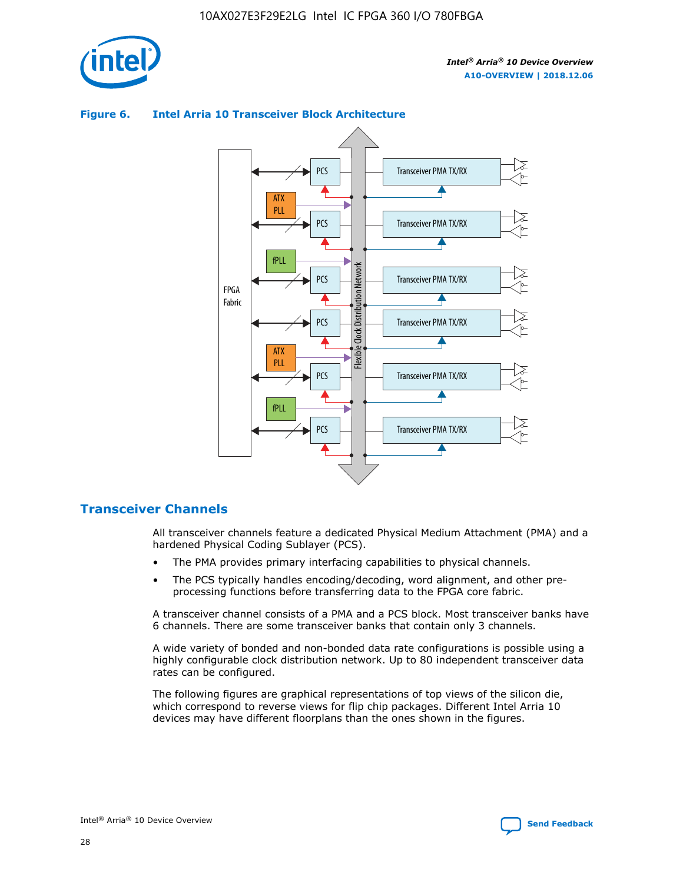



## **Figure 6. Intel Arria 10 Transceiver Block Architecture**

# **Transceiver Channels**

All transceiver channels feature a dedicated Physical Medium Attachment (PMA) and a hardened Physical Coding Sublayer (PCS).

- The PMA provides primary interfacing capabilities to physical channels.
- The PCS typically handles encoding/decoding, word alignment, and other preprocessing functions before transferring data to the FPGA core fabric.

A transceiver channel consists of a PMA and a PCS block. Most transceiver banks have 6 channels. There are some transceiver banks that contain only 3 channels.

A wide variety of bonded and non-bonded data rate configurations is possible using a highly configurable clock distribution network. Up to 80 independent transceiver data rates can be configured.

The following figures are graphical representations of top views of the silicon die, which correspond to reverse views for flip chip packages. Different Intel Arria 10 devices may have different floorplans than the ones shown in the figures.

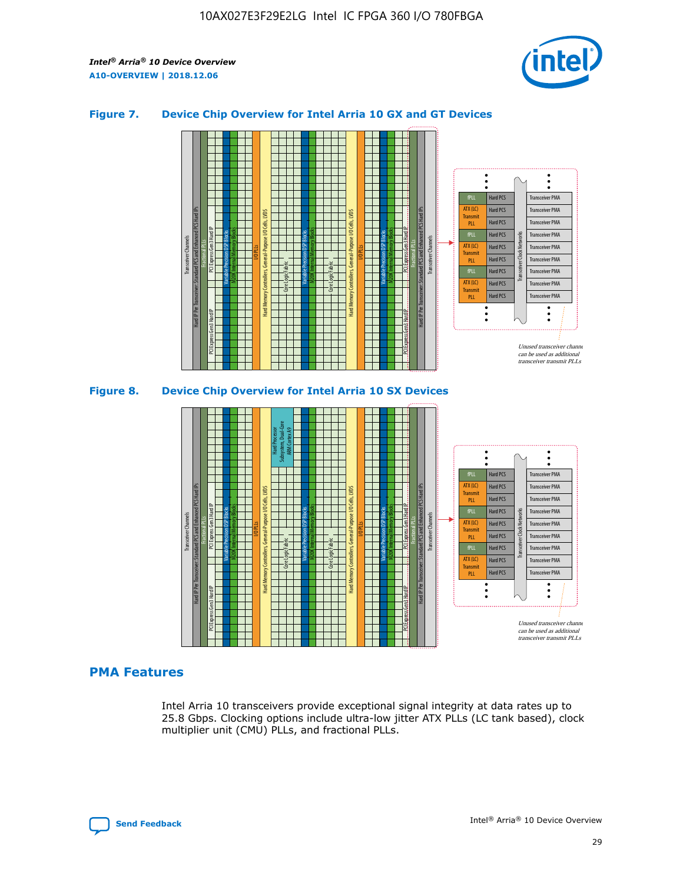

## **Figure 7. Device Chip Overview for Intel Arria 10 GX and GT Devices**



## **PMA Features**

Intel Arria 10 transceivers provide exceptional signal integrity at data rates up to 25.8 Gbps. Clocking options include ultra-low jitter ATX PLLs (LC tank based), clock multiplier unit (CMU) PLLs, and fractional PLLs.



Hard PCS Hard PCS Hard PCS Hard PCS Hard PCS

ATX (LC) Transmi PLL fPLL ATX (LC) **Transmit** PLL

Transceiver PMA Transceiver PMA Transceiver PMA

Transceiver PMA Transceiver PMA

Unused transceiver chann can be used as additional transceiver transmit PLLs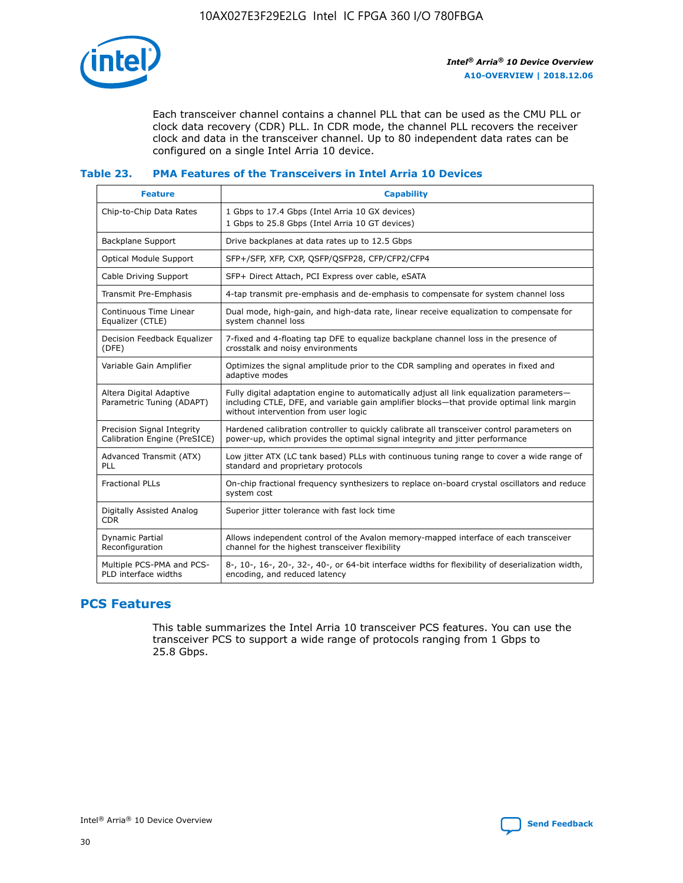

Each transceiver channel contains a channel PLL that can be used as the CMU PLL or clock data recovery (CDR) PLL. In CDR mode, the channel PLL recovers the receiver clock and data in the transceiver channel. Up to 80 independent data rates can be configured on a single Intel Arria 10 device.

## **Table 23. PMA Features of the Transceivers in Intel Arria 10 Devices**

| <b>Feature</b>                                             | <b>Capability</b>                                                                                                                                                                                                             |
|------------------------------------------------------------|-------------------------------------------------------------------------------------------------------------------------------------------------------------------------------------------------------------------------------|
| Chip-to-Chip Data Rates                                    | 1 Gbps to 17.4 Gbps (Intel Arria 10 GX devices)<br>1 Gbps to 25.8 Gbps (Intel Arria 10 GT devices)                                                                                                                            |
| Backplane Support                                          | Drive backplanes at data rates up to 12.5 Gbps                                                                                                                                                                                |
| <b>Optical Module Support</b>                              | SFP+/SFP, XFP, CXP, QSFP/QSFP28, CFP/CFP2/CFP4                                                                                                                                                                                |
| Cable Driving Support                                      | SFP+ Direct Attach, PCI Express over cable, eSATA                                                                                                                                                                             |
| Transmit Pre-Emphasis                                      | 4-tap transmit pre-emphasis and de-emphasis to compensate for system channel loss                                                                                                                                             |
| Continuous Time Linear<br>Equalizer (CTLE)                 | Dual mode, high-gain, and high-data rate, linear receive equalization to compensate for<br>system channel loss                                                                                                                |
| Decision Feedback Equalizer<br>(DFE)                       | 7-fixed and 4-floating tap DFE to equalize backplane channel loss in the presence of<br>crosstalk and noisy environments                                                                                                      |
| Variable Gain Amplifier                                    | Optimizes the signal amplitude prior to the CDR sampling and operates in fixed and<br>adaptive modes                                                                                                                          |
| Altera Digital Adaptive<br>Parametric Tuning (ADAPT)       | Fully digital adaptation engine to automatically adjust all link equalization parameters-<br>including CTLE, DFE, and variable gain amplifier blocks—that provide optimal link margin<br>without intervention from user logic |
| Precision Signal Integrity<br>Calibration Engine (PreSICE) | Hardened calibration controller to quickly calibrate all transceiver control parameters on<br>power-up, which provides the optimal signal integrity and jitter performance                                                    |
| Advanced Transmit (ATX)<br>PLL                             | Low jitter ATX (LC tank based) PLLs with continuous tuning range to cover a wide range of<br>standard and proprietary protocols                                                                                               |
| <b>Fractional PLLs</b>                                     | On-chip fractional frequency synthesizers to replace on-board crystal oscillators and reduce<br>system cost                                                                                                                   |
| Digitally Assisted Analog<br><b>CDR</b>                    | Superior jitter tolerance with fast lock time                                                                                                                                                                                 |
| Dynamic Partial<br>Reconfiguration                         | Allows independent control of the Avalon memory-mapped interface of each transceiver<br>channel for the highest transceiver flexibility                                                                                       |
| Multiple PCS-PMA and PCS-<br>PLD interface widths          | 8-, 10-, 16-, 20-, 32-, 40-, or 64-bit interface widths for flexibility of deserialization width,<br>encoding, and reduced latency                                                                                            |

# **PCS Features**

This table summarizes the Intel Arria 10 transceiver PCS features. You can use the transceiver PCS to support a wide range of protocols ranging from 1 Gbps to 25.8 Gbps.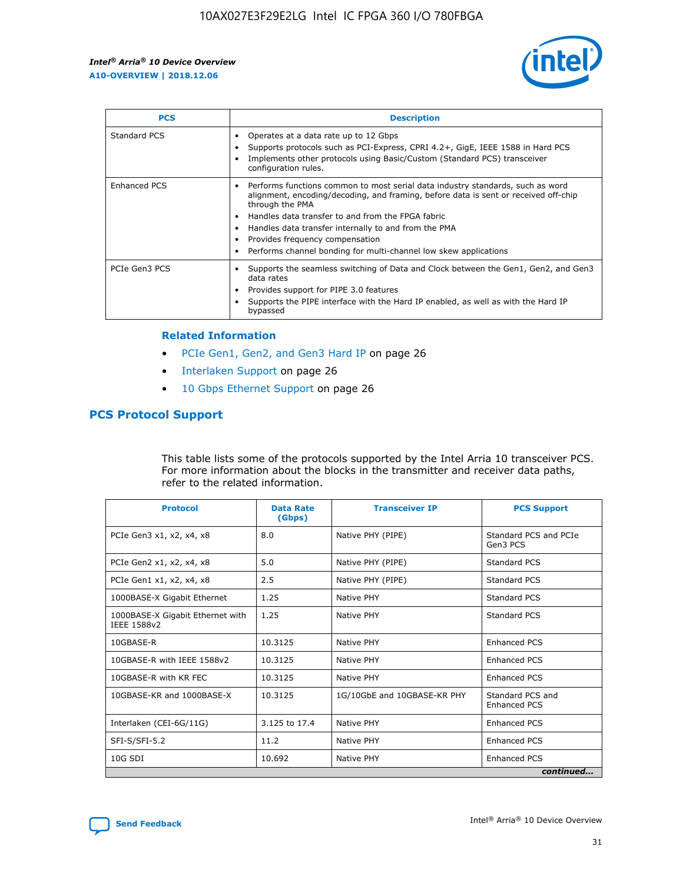

| <b>PCS</b>          | <b>Description</b>                                                                                                                                                                                                                                                                                                                                                                                             |
|---------------------|----------------------------------------------------------------------------------------------------------------------------------------------------------------------------------------------------------------------------------------------------------------------------------------------------------------------------------------------------------------------------------------------------------------|
| Standard PCS        | Operates at a data rate up to 12 Gbps<br>Supports protocols such as PCI-Express, CPRI 4.2+, GigE, IEEE 1588 in Hard PCS<br>Implements other protocols using Basic/Custom (Standard PCS) transceiver<br>configuration rules.                                                                                                                                                                                    |
| <b>Enhanced PCS</b> | Performs functions common to most serial data industry standards, such as word<br>alignment, encoding/decoding, and framing, before data is sent or received off-chip<br>through the PMA<br>• Handles data transfer to and from the FPGA fabric<br>Handles data transfer internally to and from the PMA<br>Provides frequency compensation<br>Performs channel bonding for multi-channel low skew applications |
| PCIe Gen3 PCS       | Supports the seamless switching of Data and Clock between the Gen1, Gen2, and Gen3<br>data rates<br>Provides support for PIPE 3.0 features<br>Supports the PIPE interface with the Hard IP enabled, as well as with the Hard IP<br>bypassed                                                                                                                                                                    |

#### **Related Information**

- PCIe Gen1, Gen2, and Gen3 Hard IP on page 26
- Interlaken Support on page 26
- 10 Gbps Ethernet Support on page 26

# **PCS Protocol Support**

This table lists some of the protocols supported by the Intel Arria 10 transceiver PCS. For more information about the blocks in the transmitter and receiver data paths, refer to the related information.

| <b>Protocol</b>                                 | <b>Data Rate</b><br>(Gbps) | <b>Transceiver IP</b>       | <b>PCS Support</b>                      |
|-------------------------------------------------|----------------------------|-----------------------------|-----------------------------------------|
| PCIe Gen3 x1, x2, x4, x8                        | 8.0                        | Native PHY (PIPE)           | Standard PCS and PCIe<br>Gen3 PCS       |
| PCIe Gen2 x1, x2, x4, x8                        | 5.0                        | Native PHY (PIPE)           | <b>Standard PCS</b>                     |
| PCIe Gen1 x1, x2, x4, x8                        | 2.5                        | Native PHY (PIPE)           | Standard PCS                            |
| 1000BASE-X Gigabit Ethernet                     | 1.25                       | Native PHY                  | <b>Standard PCS</b>                     |
| 1000BASE-X Gigabit Ethernet with<br>IEEE 1588v2 | 1.25                       | Native PHY                  | Standard PCS                            |
| 10GBASE-R                                       | 10.3125                    | Native PHY                  | <b>Enhanced PCS</b>                     |
| 10GBASE-R with IEEE 1588v2                      | 10.3125                    | Native PHY                  | <b>Enhanced PCS</b>                     |
| 10GBASE-R with KR FEC                           | 10.3125                    | Native PHY                  | <b>Enhanced PCS</b>                     |
| 10GBASE-KR and 1000BASE-X                       | 10.3125                    | 1G/10GbE and 10GBASE-KR PHY | Standard PCS and<br><b>Enhanced PCS</b> |
| Interlaken (CEI-6G/11G)                         | 3.125 to 17.4              | Native PHY                  | <b>Enhanced PCS</b>                     |
| SFI-S/SFI-5.2                                   | 11.2                       | Native PHY                  | <b>Enhanced PCS</b>                     |
| $10G$ SDI                                       | 10.692                     | Native PHY                  | <b>Enhanced PCS</b>                     |
|                                                 |                            |                             | continued                               |

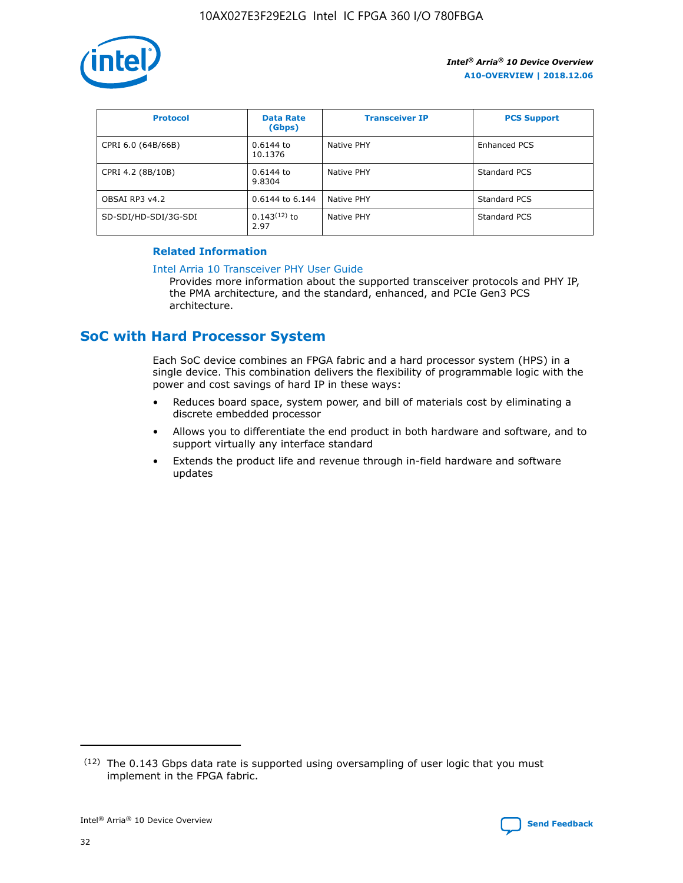

| <b>Protocol</b>      | <b>Data Rate</b><br>(Gbps) | <b>Transceiver IP</b> | <b>PCS Support</b> |
|----------------------|----------------------------|-----------------------|--------------------|
| CPRI 6.0 (64B/66B)   | 0.6144 to<br>10.1376       | Native PHY            | Enhanced PCS       |
| CPRI 4.2 (8B/10B)    | 0.6144 to<br>9.8304        | Native PHY            | Standard PCS       |
| OBSAI RP3 v4.2       | 0.6144 to 6.144            | Native PHY            | Standard PCS       |
| SD-SDI/HD-SDI/3G-SDI | $0.143(12)$ to<br>2.97     | Native PHY            | Standard PCS       |

# **Related Information**

#### [Intel Arria 10 Transceiver PHY User Guide](https://www.intel.com/content/www/us/en/programmable/documentation/nik1398707230472.html#nik1398707091164)

Provides more information about the supported transceiver protocols and PHY IP, the PMA architecture, and the standard, enhanced, and PCIe Gen3 PCS architecture.

# **SoC with Hard Processor System**

Each SoC device combines an FPGA fabric and a hard processor system (HPS) in a single device. This combination delivers the flexibility of programmable logic with the power and cost savings of hard IP in these ways:

- Reduces board space, system power, and bill of materials cost by eliminating a discrete embedded processor
- Allows you to differentiate the end product in both hardware and software, and to support virtually any interface standard
- Extends the product life and revenue through in-field hardware and software updates

 $(12)$  The 0.143 Gbps data rate is supported using oversampling of user logic that you must implement in the FPGA fabric.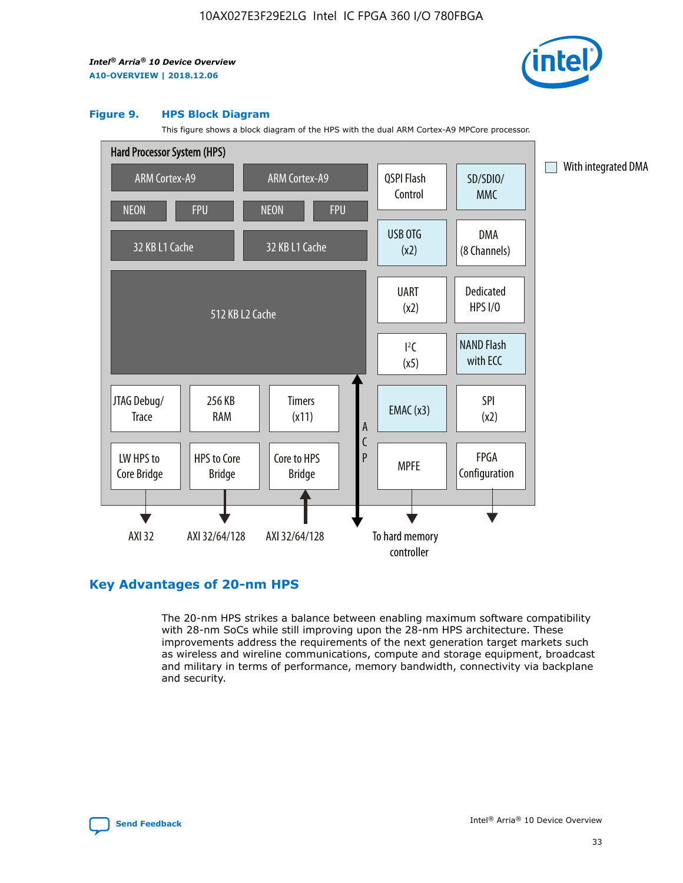

#### **Figure 9. HPS Block Diagram**

This figure shows a block diagram of the HPS with the dual ARM Cortex-A9 MPCore processor.



# **Key Advantages of 20-nm HPS**

The 20-nm HPS strikes a balance between enabling maximum software compatibility with 28-nm SoCs while still improving upon the 28-nm HPS architecture. These improvements address the requirements of the next generation target markets such as wireless and wireline communications, compute and storage equipment, broadcast and military in terms of performance, memory bandwidth, connectivity via backplane and security.

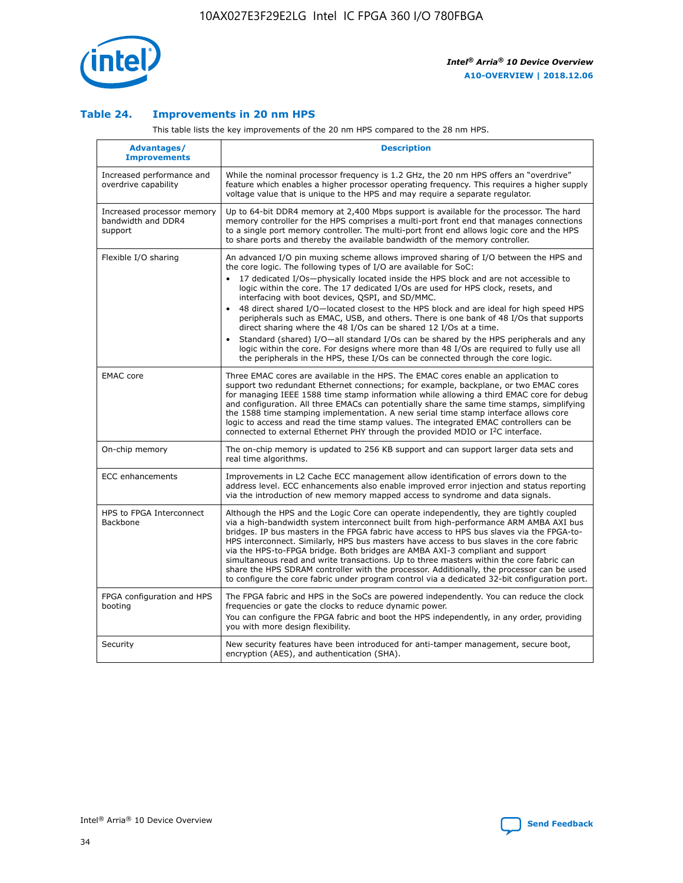

## **Table 24. Improvements in 20 nm HPS**

This table lists the key improvements of the 20 nm HPS compared to the 28 nm HPS.

| Advantages/<br><b>Improvements</b>                          | <b>Description</b>                                                                                                                                                                                                                                                                                                                                                                                                                                                                                                                                                                                                                                                                                                                                                                                                                                                                                                      |
|-------------------------------------------------------------|-------------------------------------------------------------------------------------------------------------------------------------------------------------------------------------------------------------------------------------------------------------------------------------------------------------------------------------------------------------------------------------------------------------------------------------------------------------------------------------------------------------------------------------------------------------------------------------------------------------------------------------------------------------------------------------------------------------------------------------------------------------------------------------------------------------------------------------------------------------------------------------------------------------------------|
| Increased performance and<br>overdrive capability           | While the nominal processor frequency is 1.2 GHz, the 20 nm HPS offers an "overdrive"<br>feature which enables a higher processor operating frequency. This requires a higher supply<br>voltage value that is unique to the HPS and may require a separate regulator.                                                                                                                                                                                                                                                                                                                                                                                                                                                                                                                                                                                                                                                   |
| Increased processor memory<br>bandwidth and DDR4<br>support | Up to 64-bit DDR4 memory at 2,400 Mbps support is available for the processor. The hard<br>memory controller for the HPS comprises a multi-port front end that manages connections<br>to a single port memory controller. The multi-port front end allows logic core and the HPS<br>to share ports and thereby the available bandwidth of the memory controller.                                                                                                                                                                                                                                                                                                                                                                                                                                                                                                                                                        |
| Flexible I/O sharing                                        | An advanced I/O pin muxing scheme allows improved sharing of I/O between the HPS and<br>the core logic. The following types of I/O are available for SoC:<br>17 dedicated I/Os-physically located inside the HPS block and are not accessible to<br>logic within the core. The 17 dedicated I/Os are used for HPS clock, resets, and<br>interfacing with boot devices, QSPI, and SD/MMC.<br>48 direct shared I/O-located closest to the HPS block and are ideal for high speed HPS<br>peripherals such as EMAC, USB, and others. There is one bank of 48 I/Os that supports<br>direct sharing where the 48 I/Os can be shared 12 I/Os at a time.<br>Standard (shared) I/O—all standard I/Os can be shared by the HPS peripherals and any<br>logic within the core. For designs where more than 48 I/Os are required to fully use all<br>the peripherals in the HPS, these I/Os can be connected through the core logic. |
| <b>EMAC</b> core                                            | Three EMAC cores are available in the HPS. The EMAC cores enable an application to<br>support two redundant Ethernet connections; for example, backplane, or two EMAC cores<br>for managing IEEE 1588 time stamp information while allowing a third EMAC core for debug<br>and configuration. All three EMACs can potentially share the same time stamps, simplifying<br>the 1588 time stamping implementation. A new serial time stamp interface allows core<br>logic to access and read the time stamp values. The integrated EMAC controllers can be<br>connected to external Ethernet PHY through the provided MDIO or I <sup>2</sup> C interface.                                                                                                                                                                                                                                                                  |
| On-chip memory                                              | The on-chip memory is updated to 256 KB support and can support larger data sets and<br>real time algorithms.                                                                                                                                                                                                                                                                                                                                                                                                                                                                                                                                                                                                                                                                                                                                                                                                           |
| <b>ECC</b> enhancements                                     | Improvements in L2 Cache ECC management allow identification of errors down to the<br>address level. ECC enhancements also enable improved error injection and status reporting<br>via the introduction of new memory mapped access to syndrome and data signals.                                                                                                                                                                                                                                                                                                                                                                                                                                                                                                                                                                                                                                                       |
| HPS to FPGA Interconnect<br><b>Backbone</b>                 | Although the HPS and the Logic Core can operate independently, they are tightly coupled<br>via a high-bandwidth system interconnect built from high-performance ARM AMBA AXI bus<br>bridges. IP bus masters in the FPGA fabric have access to HPS bus slaves via the FPGA-to-<br>HPS interconnect. Similarly, HPS bus masters have access to bus slaves in the core fabric<br>via the HPS-to-FPGA bridge. Both bridges are AMBA AXI-3 compliant and support<br>simultaneous read and write transactions. Up to three masters within the core fabric can<br>share the HPS SDRAM controller with the processor. Additionally, the processor can be used<br>to configure the core fabric under program control via a dedicated 32-bit configuration port.                                                                                                                                                                  |
| FPGA configuration and HPS<br>booting                       | The FPGA fabric and HPS in the SoCs are powered independently. You can reduce the clock<br>frequencies or gate the clocks to reduce dynamic power.<br>You can configure the FPGA fabric and boot the HPS independently, in any order, providing<br>you with more design flexibility.                                                                                                                                                                                                                                                                                                                                                                                                                                                                                                                                                                                                                                    |
| Security                                                    | New security features have been introduced for anti-tamper management, secure boot,<br>encryption (AES), and authentication (SHA).                                                                                                                                                                                                                                                                                                                                                                                                                                                                                                                                                                                                                                                                                                                                                                                      |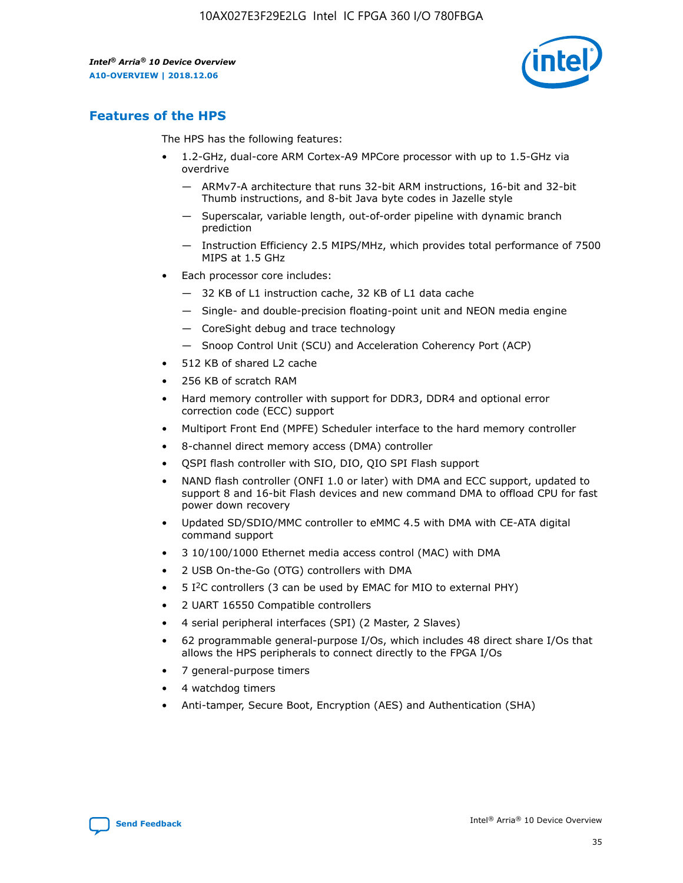

# **Features of the HPS**

The HPS has the following features:

- 1.2-GHz, dual-core ARM Cortex-A9 MPCore processor with up to 1.5-GHz via overdrive
	- ARMv7-A architecture that runs 32-bit ARM instructions, 16-bit and 32-bit Thumb instructions, and 8-bit Java byte codes in Jazelle style
	- Superscalar, variable length, out-of-order pipeline with dynamic branch prediction
	- Instruction Efficiency 2.5 MIPS/MHz, which provides total performance of 7500 MIPS at 1.5 GHz
- Each processor core includes:
	- 32 KB of L1 instruction cache, 32 KB of L1 data cache
	- Single- and double-precision floating-point unit and NEON media engine
	- CoreSight debug and trace technology
	- Snoop Control Unit (SCU) and Acceleration Coherency Port (ACP)
- 512 KB of shared L2 cache
- 256 KB of scratch RAM
- Hard memory controller with support for DDR3, DDR4 and optional error correction code (ECC) support
- Multiport Front End (MPFE) Scheduler interface to the hard memory controller
- 8-channel direct memory access (DMA) controller
- QSPI flash controller with SIO, DIO, QIO SPI Flash support
- NAND flash controller (ONFI 1.0 or later) with DMA and ECC support, updated to support 8 and 16-bit Flash devices and new command DMA to offload CPU for fast power down recovery
- Updated SD/SDIO/MMC controller to eMMC 4.5 with DMA with CE-ATA digital command support
- 3 10/100/1000 Ethernet media access control (MAC) with DMA
- 2 USB On-the-Go (OTG) controllers with DMA
- $\bullet$  5 I<sup>2</sup>C controllers (3 can be used by EMAC for MIO to external PHY)
- 2 UART 16550 Compatible controllers
- 4 serial peripheral interfaces (SPI) (2 Master, 2 Slaves)
- 62 programmable general-purpose I/Os, which includes 48 direct share I/Os that allows the HPS peripherals to connect directly to the FPGA I/Os
- 7 general-purpose timers
- 4 watchdog timers
- Anti-tamper, Secure Boot, Encryption (AES) and Authentication (SHA)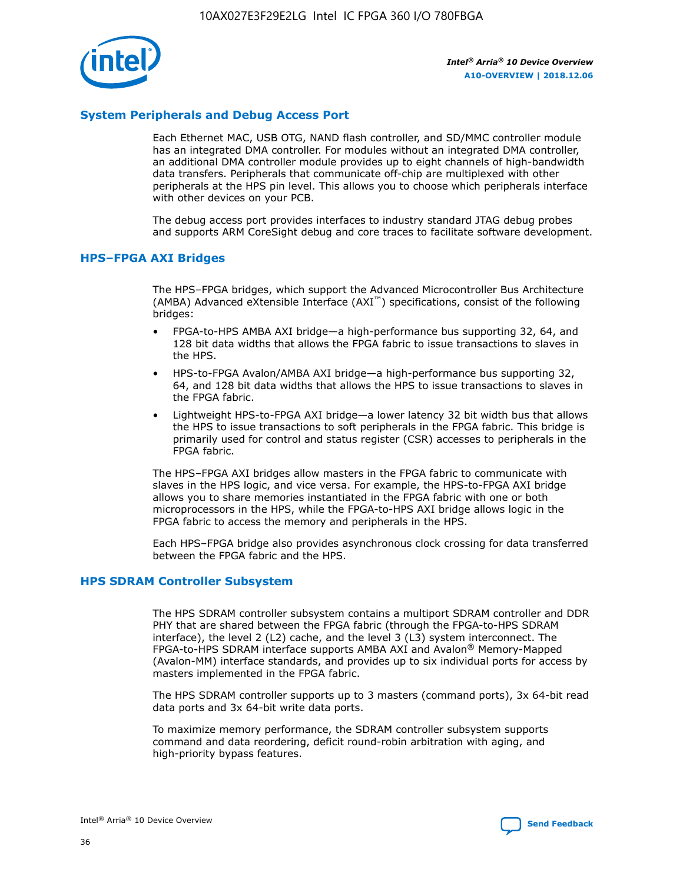

# **System Peripherals and Debug Access Port**

Each Ethernet MAC, USB OTG, NAND flash controller, and SD/MMC controller module has an integrated DMA controller. For modules without an integrated DMA controller, an additional DMA controller module provides up to eight channels of high-bandwidth data transfers. Peripherals that communicate off-chip are multiplexed with other peripherals at the HPS pin level. This allows you to choose which peripherals interface with other devices on your PCB.

The debug access port provides interfaces to industry standard JTAG debug probes and supports ARM CoreSight debug and core traces to facilitate software development.

## **HPS–FPGA AXI Bridges**

The HPS–FPGA bridges, which support the Advanced Microcontroller Bus Architecture (AMBA) Advanced eXtensible Interface (AXI™) specifications, consist of the following bridges:

- FPGA-to-HPS AMBA AXI bridge—a high-performance bus supporting 32, 64, and 128 bit data widths that allows the FPGA fabric to issue transactions to slaves in the HPS.
- HPS-to-FPGA Avalon/AMBA AXI bridge—a high-performance bus supporting 32, 64, and 128 bit data widths that allows the HPS to issue transactions to slaves in the FPGA fabric.
- Lightweight HPS-to-FPGA AXI bridge—a lower latency 32 bit width bus that allows the HPS to issue transactions to soft peripherals in the FPGA fabric. This bridge is primarily used for control and status register (CSR) accesses to peripherals in the FPGA fabric.

The HPS–FPGA AXI bridges allow masters in the FPGA fabric to communicate with slaves in the HPS logic, and vice versa. For example, the HPS-to-FPGA AXI bridge allows you to share memories instantiated in the FPGA fabric with one or both microprocessors in the HPS, while the FPGA-to-HPS AXI bridge allows logic in the FPGA fabric to access the memory and peripherals in the HPS.

Each HPS–FPGA bridge also provides asynchronous clock crossing for data transferred between the FPGA fabric and the HPS.

## **HPS SDRAM Controller Subsystem**

The HPS SDRAM controller subsystem contains a multiport SDRAM controller and DDR PHY that are shared between the FPGA fabric (through the FPGA-to-HPS SDRAM interface), the level 2 (L2) cache, and the level 3 (L3) system interconnect. The FPGA-to-HPS SDRAM interface supports AMBA AXI and Avalon® Memory-Mapped (Avalon-MM) interface standards, and provides up to six individual ports for access by masters implemented in the FPGA fabric.

The HPS SDRAM controller supports up to 3 masters (command ports), 3x 64-bit read data ports and 3x 64-bit write data ports.

To maximize memory performance, the SDRAM controller subsystem supports command and data reordering, deficit round-robin arbitration with aging, and high-priority bypass features.

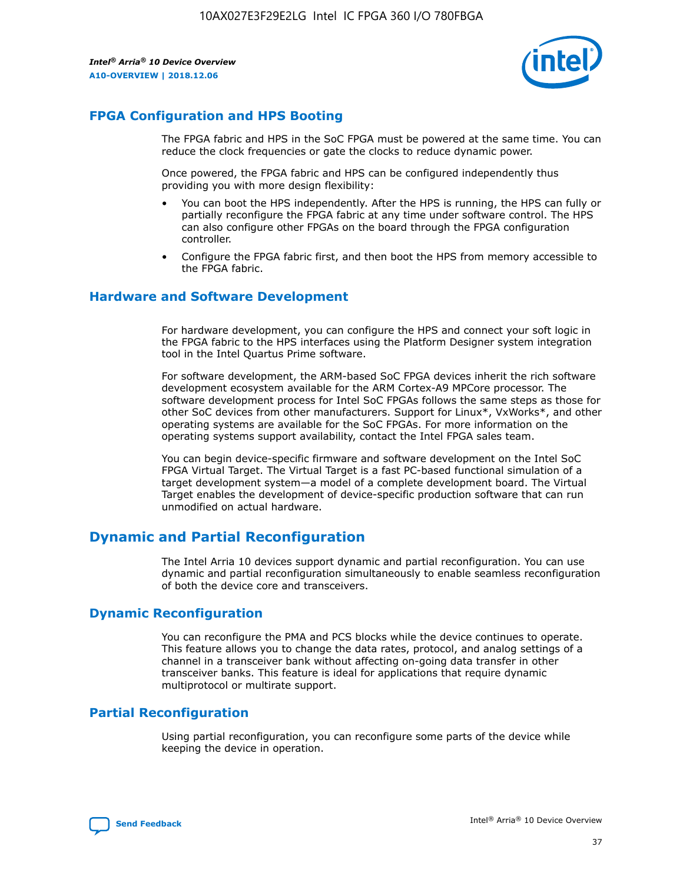

# **FPGA Configuration and HPS Booting**

The FPGA fabric and HPS in the SoC FPGA must be powered at the same time. You can reduce the clock frequencies or gate the clocks to reduce dynamic power.

Once powered, the FPGA fabric and HPS can be configured independently thus providing you with more design flexibility:

- You can boot the HPS independently. After the HPS is running, the HPS can fully or partially reconfigure the FPGA fabric at any time under software control. The HPS can also configure other FPGAs on the board through the FPGA configuration controller.
- Configure the FPGA fabric first, and then boot the HPS from memory accessible to the FPGA fabric.

## **Hardware and Software Development**

For hardware development, you can configure the HPS and connect your soft logic in the FPGA fabric to the HPS interfaces using the Platform Designer system integration tool in the Intel Quartus Prime software.

For software development, the ARM-based SoC FPGA devices inherit the rich software development ecosystem available for the ARM Cortex-A9 MPCore processor. The software development process for Intel SoC FPGAs follows the same steps as those for other SoC devices from other manufacturers. Support for Linux\*, VxWorks\*, and other operating systems are available for the SoC FPGAs. For more information on the operating systems support availability, contact the Intel FPGA sales team.

You can begin device-specific firmware and software development on the Intel SoC FPGA Virtual Target. The Virtual Target is a fast PC-based functional simulation of a target development system—a model of a complete development board. The Virtual Target enables the development of device-specific production software that can run unmodified on actual hardware.

# **Dynamic and Partial Reconfiguration**

The Intel Arria 10 devices support dynamic and partial reconfiguration. You can use dynamic and partial reconfiguration simultaneously to enable seamless reconfiguration of both the device core and transceivers.

# **Dynamic Reconfiguration**

You can reconfigure the PMA and PCS blocks while the device continues to operate. This feature allows you to change the data rates, protocol, and analog settings of a channel in a transceiver bank without affecting on-going data transfer in other transceiver banks. This feature is ideal for applications that require dynamic multiprotocol or multirate support.

# **Partial Reconfiguration**

Using partial reconfiguration, you can reconfigure some parts of the device while keeping the device in operation.

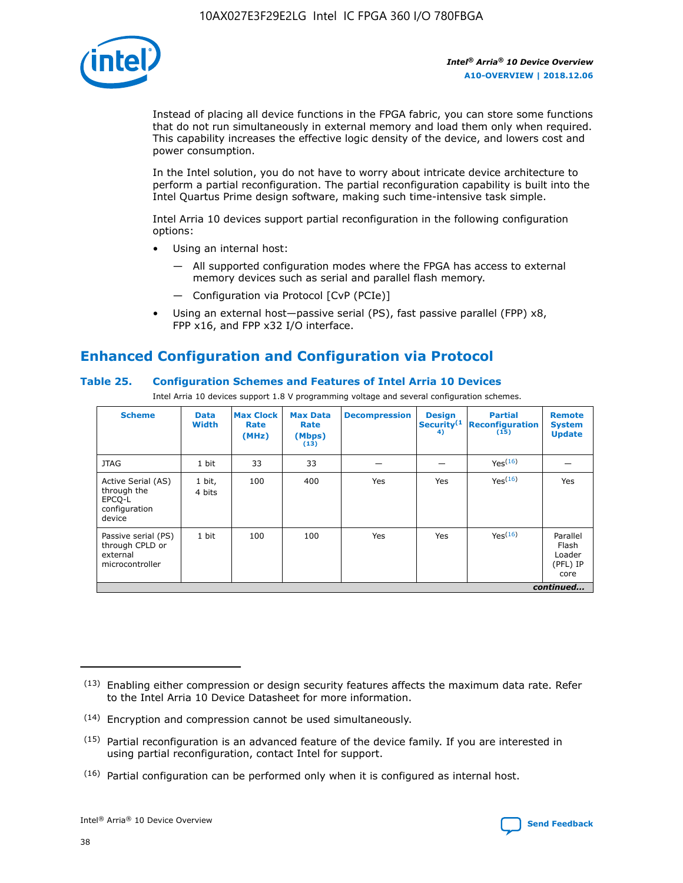

Instead of placing all device functions in the FPGA fabric, you can store some functions that do not run simultaneously in external memory and load them only when required. This capability increases the effective logic density of the device, and lowers cost and power consumption.

In the Intel solution, you do not have to worry about intricate device architecture to perform a partial reconfiguration. The partial reconfiguration capability is built into the Intel Quartus Prime design software, making such time-intensive task simple.

Intel Arria 10 devices support partial reconfiguration in the following configuration options:

- Using an internal host:
	- All supported configuration modes where the FPGA has access to external memory devices such as serial and parallel flash memory.
	- Configuration via Protocol [CvP (PCIe)]
- Using an external host—passive serial (PS), fast passive parallel (FPP) x8, FPP x16, and FPP x32 I/O interface.

# **Enhanced Configuration and Configuration via Protocol**

# **Table 25. Configuration Schemes and Features of Intel Arria 10 Devices**

Intel Arria 10 devices support 1.8 V programming voltage and several configuration schemes.

| <b>Scheme</b>                                                          | <b>Data</b><br><b>Width</b> | <b>Max Clock</b><br>Rate<br>(MHz) | <b>Max Data</b><br>Rate<br>(Mbps)<br>(13) | <b>Decompression</b> | <b>Design</b><br>Security <sup>(1</sup><br>4) | <b>Partial</b><br>Reconfiguration<br>(15) | <b>Remote</b><br><b>System</b><br><b>Update</b> |
|------------------------------------------------------------------------|-----------------------------|-----------------------------------|-------------------------------------------|----------------------|-----------------------------------------------|-------------------------------------------|-------------------------------------------------|
| <b>JTAG</b>                                                            | 1 bit                       | 33                                | 33                                        |                      |                                               | Yes(16)                                   |                                                 |
| Active Serial (AS)<br>through the<br>EPCO-L<br>configuration<br>device | 1 bit,<br>4 bits            | 100                               | 400                                       | Yes                  | Yes                                           | Yes(16)                                   | Yes                                             |
| Passive serial (PS)<br>through CPLD or<br>external<br>microcontroller  | 1 bit                       | 100                               | 100                                       | Yes                  | Yes                                           | Yes <sup>(16)</sup>                       | Parallel<br>Flash<br>Loader<br>(PFL) IP<br>core |
|                                                                        |                             |                                   |                                           |                      |                                               |                                           | continued                                       |

<sup>(13)</sup> Enabling either compression or design security features affects the maximum data rate. Refer to the Intel Arria 10 Device Datasheet for more information.

<sup>(14)</sup> Encryption and compression cannot be used simultaneously.

 $(15)$  Partial reconfiguration is an advanced feature of the device family. If you are interested in using partial reconfiguration, contact Intel for support.

 $(16)$  Partial configuration can be performed only when it is configured as internal host.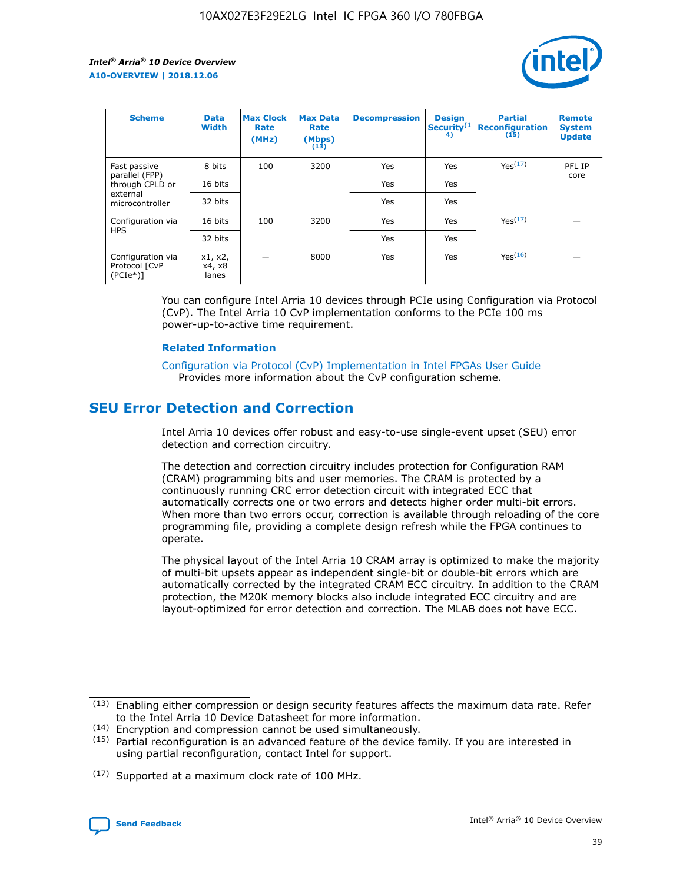

| <b>Scheme</b>                                    | <b>Data</b><br><b>Width</b> | <b>Max Clock</b><br>Rate<br>(MHz) | <b>Max Data</b><br>Rate<br>(Mbps)<br>(13) | <b>Decompression</b> | <b>Design</b><br>Security <sup>(1</sup><br>4) | <b>Partial</b><br><b>Reconfiguration</b><br>(15) | <b>Remote</b><br><b>System</b><br><b>Update</b> |
|--------------------------------------------------|-----------------------------|-----------------------------------|-------------------------------------------|----------------------|-----------------------------------------------|--------------------------------------------------|-------------------------------------------------|
| Fast passive                                     | 8 bits                      | 100                               | 3200                                      | Yes                  | Yes                                           | Yes(17)                                          | PFL IP                                          |
| parallel (FPP)<br>through CPLD or                | 16 bits                     |                                   |                                           | Yes                  | Yes                                           |                                                  | core                                            |
| external<br>microcontroller                      | 32 bits                     |                                   |                                           | Yes                  | Yes                                           |                                                  |                                                 |
| Configuration via                                | 16 bits                     | 100                               | 3200                                      | Yes                  | Yes                                           | Yes <sup>(17)</sup>                              |                                                 |
| <b>HPS</b>                                       | 32 bits                     |                                   |                                           | Yes                  | Yes                                           |                                                  |                                                 |
| Configuration via<br>Protocol [CvP<br>$(PCIe^*)$ | x1, x2,<br>x4, x8<br>lanes  |                                   | 8000                                      | Yes                  | Yes                                           | Yes <sup>(16)</sup>                              |                                                 |

You can configure Intel Arria 10 devices through PCIe using Configuration via Protocol (CvP). The Intel Arria 10 CvP implementation conforms to the PCIe 100 ms power-up-to-active time requirement.

## **Related Information**

[Configuration via Protocol \(CvP\) Implementation in Intel FPGAs User Guide](https://www.intel.com/content/www/us/en/programmable/documentation/dsu1441819344145.html#dsu1442269728522) Provides more information about the CvP configuration scheme.

# **SEU Error Detection and Correction**

Intel Arria 10 devices offer robust and easy-to-use single-event upset (SEU) error detection and correction circuitry.

The detection and correction circuitry includes protection for Configuration RAM (CRAM) programming bits and user memories. The CRAM is protected by a continuously running CRC error detection circuit with integrated ECC that automatically corrects one or two errors and detects higher order multi-bit errors. When more than two errors occur, correction is available through reloading of the core programming file, providing a complete design refresh while the FPGA continues to operate.

The physical layout of the Intel Arria 10 CRAM array is optimized to make the majority of multi-bit upsets appear as independent single-bit or double-bit errors which are automatically corrected by the integrated CRAM ECC circuitry. In addition to the CRAM protection, the M20K memory blocks also include integrated ECC circuitry and are layout-optimized for error detection and correction. The MLAB does not have ECC.

(14) Encryption and compression cannot be used simultaneously.

<sup>(17)</sup> Supported at a maximum clock rate of 100 MHz.



 $(13)$  Enabling either compression or design security features affects the maximum data rate. Refer to the Intel Arria 10 Device Datasheet for more information.

 $(15)$  Partial reconfiguration is an advanced feature of the device family. If you are interested in using partial reconfiguration, contact Intel for support.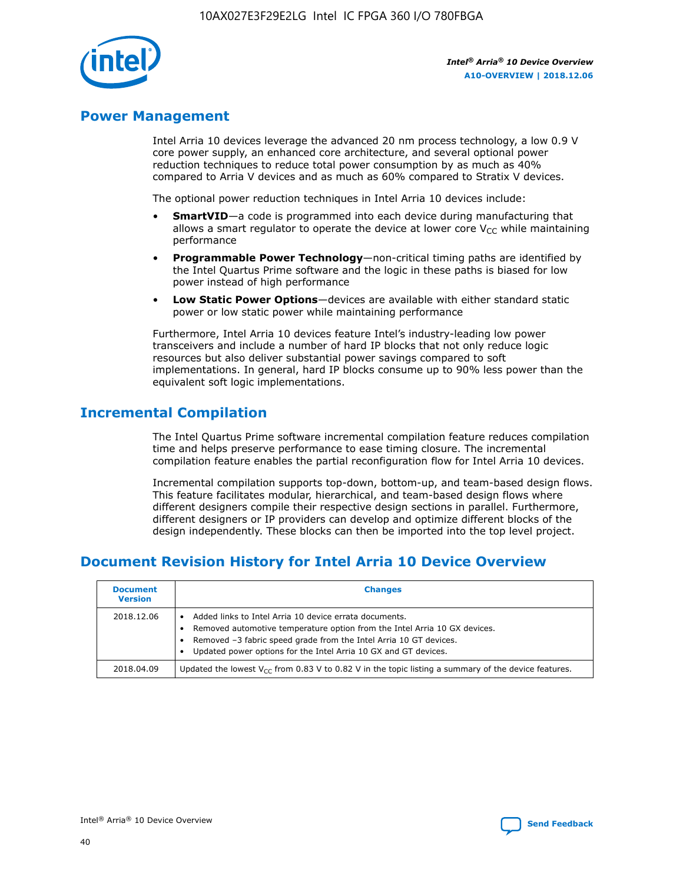

# **Power Management**

Intel Arria 10 devices leverage the advanced 20 nm process technology, a low 0.9 V core power supply, an enhanced core architecture, and several optional power reduction techniques to reduce total power consumption by as much as 40% compared to Arria V devices and as much as 60% compared to Stratix V devices.

The optional power reduction techniques in Intel Arria 10 devices include:

- **SmartVID**—a code is programmed into each device during manufacturing that allows a smart regulator to operate the device at lower core  $V_{CC}$  while maintaining performance
- **Programmable Power Technology**—non-critical timing paths are identified by the Intel Quartus Prime software and the logic in these paths is biased for low power instead of high performance
- **Low Static Power Options**—devices are available with either standard static power or low static power while maintaining performance

Furthermore, Intel Arria 10 devices feature Intel's industry-leading low power transceivers and include a number of hard IP blocks that not only reduce logic resources but also deliver substantial power savings compared to soft implementations. In general, hard IP blocks consume up to 90% less power than the equivalent soft logic implementations.

# **Incremental Compilation**

The Intel Quartus Prime software incremental compilation feature reduces compilation time and helps preserve performance to ease timing closure. The incremental compilation feature enables the partial reconfiguration flow for Intel Arria 10 devices.

Incremental compilation supports top-down, bottom-up, and team-based design flows. This feature facilitates modular, hierarchical, and team-based design flows where different designers compile their respective design sections in parallel. Furthermore, different designers or IP providers can develop and optimize different blocks of the design independently. These blocks can then be imported into the top level project.

# **Document Revision History for Intel Arria 10 Device Overview**

| <b>Document</b><br><b>Version</b> | <b>Changes</b>                                                                                                                                                                                                                                                              |
|-----------------------------------|-----------------------------------------------------------------------------------------------------------------------------------------------------------------------------------------------------------------------------------------------------------------------------|
| 2018.12.06                        | Added links to Intel Arria 10 device errata documents.<br>Removed automotive temperature option from the Intel Arria 10 GX devices.<br>Removed -3 fabric speed grade from the Intel Arria 10 GT devices.<br>Updated power options for the Intel Arria 10 GX and GT devices. |
| 2018.04.09                        | Updated the lowest $V_{CC}$ from 0.83 V to 0.82 V in the topic listing a summary of the device features.                                                                                                                                                                    |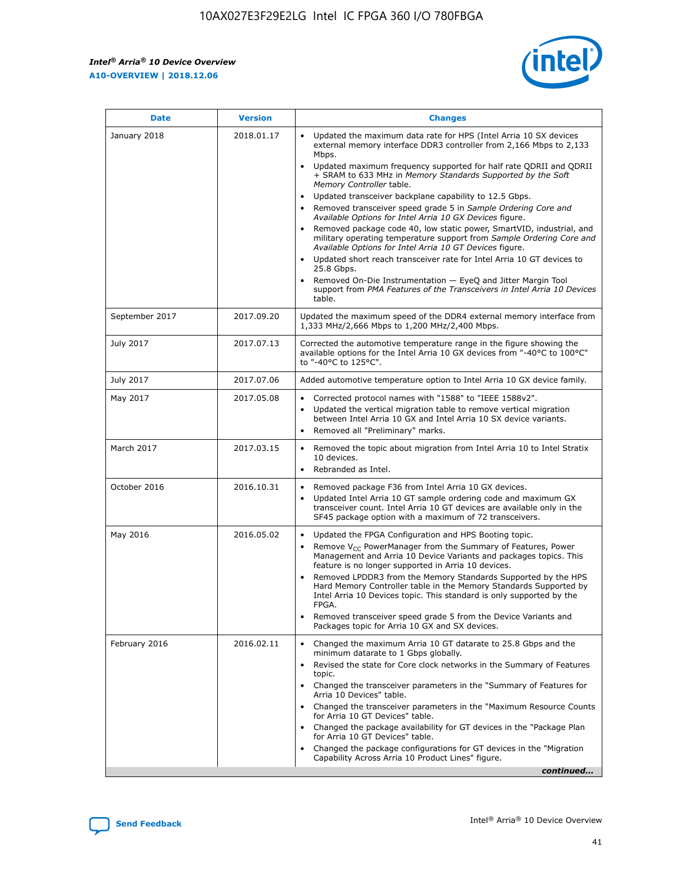F

 $\mathsf{r}$ 



| January 2018<br>Updated the maximum data rate for HPS (Intel Arria 10 SX devices<br>2018.01.17<br>external memory interface DDR3 controller from 2,166 Mbps to 2,133<br>Mbps.<br>$\bullet$<br>+ SRAM to 633 MHz in Memory Standards Supported by the Soft<br>Memory Controller table.<br>Updated transceiver backplane capability to 12.5 Gbps.<br>$\bullet$<br>Removed transceiver speed grade 5 in Sample Ordering Core and<br>Available Options for Intel Arria 10 GX Devices figure.<br>Available Options for Intel Arria 10 GT Devices figure.<br>Updated short reach transceiver rate for Intel Arria 10 GT devices to<br>$\bullet$<br>25.8 Gbps.<br>Removed On-Die Instrumentation - EyeQ and Jitter Margin Tool<br>table.<br>2017.09.20<br>September 2017<br>1,333 MHz/2,666 Mbps to 1,200 MHz/2,400 Mbps.<br>July 2017<br>2017.07.13<br>Corrected the automotive temperature range in the figure showing the<br>available options for the Intel Arria 10 GX devices from "-40°C to 100°C"<br>to "-40°C to 125°C".<br>July 2017<br>2017.07.06<br>Added automotive temperature option to Intel Arria 10 GX device family.<br>2017.05.08<br>Corrected protocol names with "1588" to "IEEE 1588v2".<br>May 2017<br>$\bullet$<br>Updated the vertical migration table to remove vertical migration<br>$\bullet$<br>between Intel Arria 10 GX and Intel Arria 10 SX device variants.<br>Removed all "Preliminary" marks.<br>2017.03.15<br>March 2017<br>Removed the topic about migration from Intel Arria 10 to Intel Stratix<br>10 devices.<br>Rebranded as Intel.<br>$\bullet$<br>October 2016<br>2016.10.31<br>Removed package F36 from Intel Arria 10 GX devices.<br>$\bullet$<br>Updated Intel Arria 10 GT sample ordering code and maximum GX<br>$\bullet$<br>transceiver count. Intel Arria 10 GT devices are available only in the<br>SF45 package option with a maximum of 72 transceivers.<br>May 2016<br>2016.05.02<br>Updated the FPGA Configuration and HPS Booting topic.<br>Remove $V_{CC}$ PowerManager from the Summary of Features, Power<br>Management and Arria 10 Device Variants and packages topics. This<br>feature is no longer supported in Arria 10 devices.<br>Removed LPDDR3 from the Memory Standards Supported by the HPS<br>Hard Memory Controller table in the Memory Standards Supported by<br>Intel Arria 10 Devices topic. This standard is only supported by the<br>FPGA.<br>Removed transceiver speed grade 5 from the Device Variants and<br>Packages topic for Arria 10 GX and SX devices.<br>Changed the maximum Arria 10 GT datarate to 25.8 Gbps and the<br>February 2016<br>2016.02.11<br>minimum datarate to 1 Gbps globally.<br>Revised the state for Core clock networks in the Summary of Features<br>$\bullet$<br>topic.<br>• Changed the transceiver parameters in the "Summary of Features for<br>Arria 10 Devices" table.<br>for Arria 10 GT Devices" table.<br>• Changed the package availability for GT devices in the "Package Plan<br>for Arria 10 GT Devices" table.<br>Changed the package configurations for GT devices in the "Migration"<br>Capability Across Arria 10 Product Lines" figure. | <b>Date</b> | <b>Version</b> | <b>Changes</b>                                                                                                                                                                                                                                                                               |
|----------------------------------------------------------------------------------------------------------------------------------------------------------------------------------------------------------------------------------------------------------------------------------------------------------------------------------------------------------------------------------------------------------------------------------------------------------------------------------------------------------------------------------------------------------------------------------------------------------------------------------------------------------------------------------------------------------------------------------------------------------------------------------------------------------------------------------------------------------------------------------------------------------------------------------------------------------------------------------------------------------------------------------------------------------------------------------------------------------------------------------------------------------------------------------------------------------------------------------------------------------------------------------------------------------------------------------------------------------------------------------------------------------------------------------------------------------------------------------------------------------------------------------------------------------------------------------------------------------------------------------------------------------------------------------------------------------------------------------------------------------------------------------------------------------------------------------------------------------------------------------------------------------------------------------------------------------------------------------------------------------------------------------------------------------------------------------------------------------------------------------------------------------------------------------------------------------------------------------------------------------------------------------------------------------------------------------------------------------------------------------------------------------------------------------------------------------------------------------------------------------------------------------------------------------------------------------------------------------------------------------------------------------------------------------------------------------------------------------------------------------------------------------------------------------------------------------------------------------------------------------------------------------------------------------------------------------------------------------------------------------------------------------------------------------------------------------------------------------------------------------------------------------------|-------------|----------------|----------------------------------------------------------------------------------------------------------------------------------------------------------------------------------------------------------------------------------------------------------------------------------------------|
|                                                                                                                                                                                                                                                                                                                                                                                                                                                                                                                                                                                                                                                                                                                                                                                                                                                                                                                                                                                                                                                                                                                                                                                                                                                                                                                                                                                                                                                                                                                                                                                                                                                                                                                                                                                                                                                                                                                                                                                                                                                                                                                                                                                                                                                                                                                                                                                                                                                                                                                                                                                                                                                                                                                                                                                                                                                                                                                                                                                                                                                                                                                                                                |             |                | Updated maximum frequency supported for half rate QDRII and QDRII<br>Removed package code 40, low static power, SmartVID, industrial, and<br>military operating temperature support from Sample Ordering Core and<br>support from PMA Features of the Transceivers in Intel Arria 10 Devices |
|                                                                                                                                                                                                                                                                                                                                                                                                                                                                                                                                                                                                                                                                                                                                                                                                                                                                                                                                                                                                                                                                                                                                                                                                                                                                                                                                                                                                                                                                                                                                                                                                                                                                                                                                                                                                                                                                                                                                                                                                                                                                                                                                                                                                                                                                                                                                                                                                                                                                                                                                                                                                                                                                                                                                                                                                                                                                                                                                                                                                                                                                                                                                                                |             |                | Updated the maximum speed of the DDR4 external memory interface from                                                                                                                                                                                                                         |
|                                                                                                                                                                                                                                                                                                                                                                                                                                                                                                                                                                                                                                                                                                                                                                                                                                                                                                                                                                                                                                                                                                                                                                                                                                                                                                                                                                                                                                                                                                                                                                                                                                                                                                                                                                                                                                                                                                                                                                                                                                                                                                                                                                                                                                                                                                                                                                                                                                                                                                                                                                                                                                                                                                                                                                                                                                                                                                                                                                                                                                                                                                                                                                |             |                |                                                                                                                                                                                                                                                                                              |
|                                                                                                                                                                                                                                                                                                                                                                                                                                                                                                                                                                                                                                                                                                                                                                                                                                                                                                                                                                                                                                                                                                                                                                                                                                                                                                                                                                                                                                                                                                                                                                                                                                                                                                                                                                                                                                                                                                                                                                                                                                                                                                                                                                                                                                                                                                                                                                                                                                                                                                                                                                                                                                                                                                                                                                                                                                                                                                                                                                                                                                                                                                                                                                |             |                |                                                                                                                                                                                                                                                                                              |
|                                                                                                                                                                                                                                                                                                                                                                                                                                                                                                                                                                                                                                                                                                                                                                                                                                                                                                                                                                                                                                                                                                                                                                                                                                                                                                                                                                                                                                                                                                                                                                                                                                                                                                                                                                                                                                                                                                                                                                                                                                                                                                                                                                                                                                                                                                                                                                                                                                                                                                                                                                                                                                                                                                                                                                                                                                                                                                                                                                                                                                                                                                                                                                |             |                |                                                                                                                                                                                                                                                                                              |
|                                                                                                                                                                                                                                                                                                                                                                                                                                                                                                                                                                                                                                                                                                                                                                                                                                                                                                                                                                                                                                                                                                                                                                                                                                                                                                                                                                                                                                                                                                                                                                                                                                                                                                                                                                                                                                                                                                                                                                                                                                                                                                                                                                                                                                                                                                                                                                                                                                                                                                                                                                                                                                                                                                                                                                                                                                                                                                                                                                                                                                                                                                                                                                |             |                |                                                                                                                                                                                                                                                                                              |
|                                                                                                                                                                                                                                                                                                                                                                                                                                                                                                                                                                                                                                                                                                                                                                                                                                                                                                                                                                                                                                                                                                                                                                                                                                                                                                                                                                                                                                                                                                                                                                                                                                                                                                                                                                                                                                                                                                                                                                                                                                                                                                                                                                                                                                                                                                                                                                                                                                                                                                                                                                                                                                                                                                                                                                                                                                                                                                                                                                                                                                                                                                                                                                |             |                |                                                                                                                                                                                                                                                                                              |
|                                                                                                                                                                                                                                                                                                                                                                                                                                                                                                                                                                                                                                                                                                                                                                                                                                                                                                                                                                                                                                                                                                                                                                                                                                                                                                                                                                                                                                                                                                                                                                                                                                                                                                                                                                                                                                                                                                                                                                                                                                                                                                                                                                                                                                                                                                                                                                                                                                                                                                                                                                                                                                                                                                                                                                                                                                                                                                                                                                                                                                                                                                                                                                |             |                |                                                                                                                                                                                                                                                                                              |
|                                                                                                                                                                                                                                                                                                                                                                                                                                                                                                                                                                                                                                                                                                                                                                                                                                                                                                                                                                                                                                                                                                                                                                                                                                                                                                                                                                                                                                                                                                                                                                                                                                                                                                                                                                                                                                                                                                                                                                                                                                                                                                                                                                                                                                                                                                                                                                                                                                                                                                                                                                                                                                                                                                                                                                                                                                                                                                                                                                                                                                                                                                                                                                |             |                | Changed the transceiver parameters in the "Maximum Resource Counts"<br>continued                                                                                                                                                                                                             |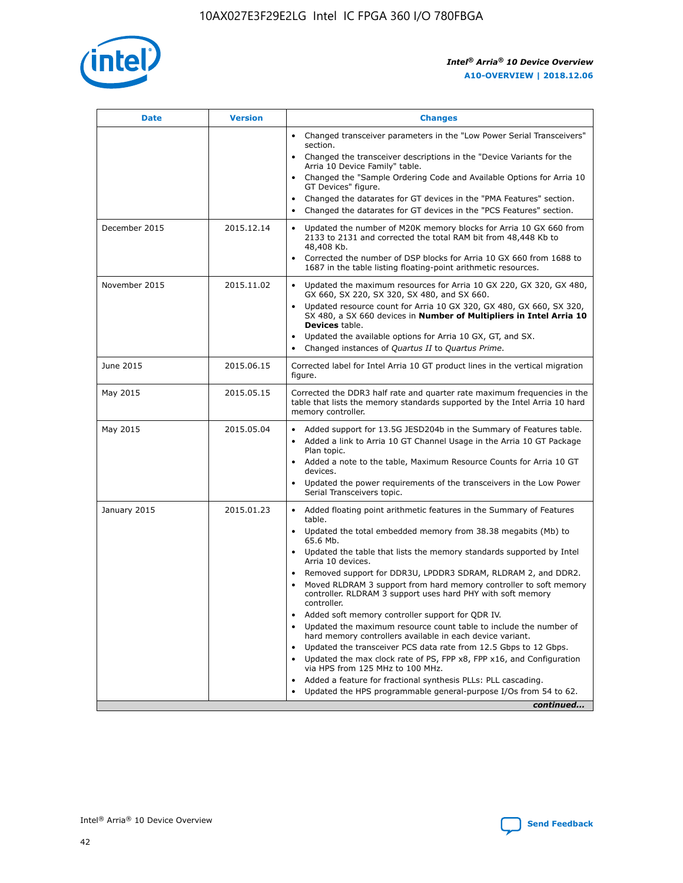

| <b>Date</b>   | <b>Version</b> | <b>Changes</b>                                                                                                                                                               |
|---------------|----------------|------------------------------------------------------------------------------------------------------------------------------------------------------------------------------|
|               |                | • Changed transceiver parameters in the "Low Power Serial Transceivers"<br>section.                                                                                          |
|               |                | Changed the transceiver descriptions in the "Device Variants for the<br>Arria 10 Device Family" table.                                                                       |
|               |                | Changed the "Sample Ordering Code and Available Options for Arria 10<br>GT Devices" figure.                                                                                  |
|               |                | Changed the datarates for GT devices in the "PMA Features" section.                                                                                                          |
|               |                | Changed the datarates for GT devices in the "PCS Features" section.                                                                                                          |
| December 2015 | 2015.12.14     | Updated the number of M20K memory blocks for Arria 10 GX 660 from<br>2133 to 2131 and corrected the total RAM bit from 48,448 Kb to<br>48,408 Kb.                            |
|               |                | Corrected the number of DSP blocks for Arria 10 GX 660 from 1688 to<br>$\bullet$<br>1687 in the table listing floating-point arithmetic resources.                           |
| November 2015 | 2015.11.02     | Updated the maximum resources for Arria 10 GX 220, GX 320, GX 480,<br>GX 660, SX 220, SX 320, SX 480, and SX 660.                                                            |
|               |                | • Updated resource count for Arria 10 GX 320, GX 480, GX 660, SX 320,<br>SX 480, a SX 660 devices in Number of Multipliers in Intel Arria 10<br><b>Devices</b> table.        |
|               |                | Updated the available options for Arria 10 GX, GT, and SX.                                                                                                                   |
|               |                | Changed instances of Quartus II to Quartus Prime.<br>$\bullet$                                                                                                               |
| June 2015     | 2015.06.15     | Corrected label for Intel Arria 10 GT product lines in the vertical migration<br>figure.                                                                                     |
| May 2015      | 2015.05.15     | Corrected the DDR3 half rate and quarter rate maximum frequencies in the<br>table that lists the memory standards supported by the Intel Arria 10 hard<br>memory controller. |
| May 2015      | 2015.05.04     | • Added support for 13.5G JESD204b in the Summary of Features table.<br>Added a link to Arria 10 GT Channel Usage in the Arria 10 GT Package<br>$\bullet$<br>Plan topic.     |
|               |                | • Added a note to the table, Maximum Resource Counts for Arria 10 GT<br>devices.                                                                                             |
|               |                | • Updated the power requirements of the transceivers in the Low Power<br>Serial Transceivers topic.                                                                          |
| January 2015  | 2015.01.23     | • Added floating point arithmetic features in the Summary of Features<br>table.                                                                                              |
|               |                | • Updated the total embedded memory from 38.38 megabits (Mb) to<br>65.6 Mb.                                                                                                  |
|               |                | • Updated the table that lists the memory standards supported by Intel<br>Arria 10 devices.                                                                                  |
|               |                | Removed support for DDR3U, LPDDR3 SDRAM, RLDRAM 2, and DDR2.                                                                                                                 |
|               |                | Moved RLDRAM 3 support from hard memory controller to soft memory<br>controller. RLDRAM 3 support uses hard PHY with soft memory<br>controller.                              |
|               |                | Added soft memory controller support for QDR IV.<br>$\bullet$                                                                                                                |
|               |                | Updated the maximum resource count table to include the number of<br>$\bullet$<br>hard memory controllers available in each device variant.                                  |
|               |                | Updated the transceiver PCS data rate from 12.5 Gbps to 12 Gbps.<br>$\bullet$                                                                                                |
|               |                | Updated the max clock rate of PS, FPP x8, FPP x16, and Configuration<br>via HPS from 125 MHz to 100 MHz.                                                                     |
|               |                | Added a feature for fractional synthesis PLLs: PLL cascading.<br>$\bullet$                                                                                                   |
|               |                | Updated the HPS programmable general-purpose I/Os from 54 to 62.                                                                                                             |
|               |                | continued                                                                                                                                                                    |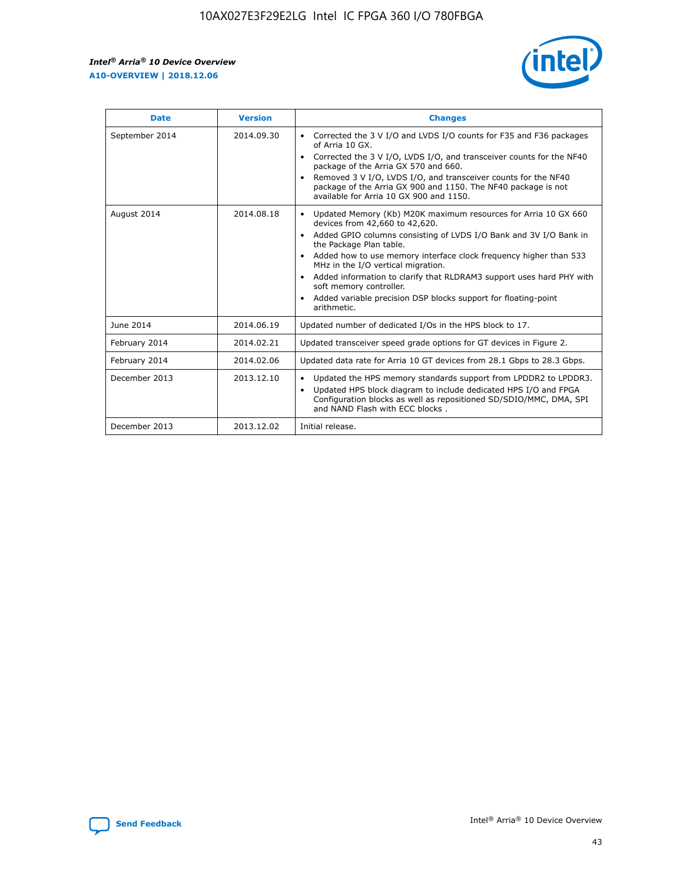

| <b>Date</b>    | <b>Version</b> | <b>Changes</b>                                                                                                                                                                                                                                                                                                                                                                                                                                                                                                                                                   |
|----------------|----------------|------------------------------------------------------------------------------------------------------------------------------------------------------------------------------------------------------------------------------------------------------------------------------------------------------------------------------------------------------------------------------------------------------------------------------------------------------------------------------------------------------------------------------------------------------------------|
| September 2014 | 2014.09.30     | Corrected the 3 V I/O and LVDS I/O counts for F35 and F36 packages<br>$\bullet$<br>of Arria 10 GX.<br>Corrected the 3 V I/O, LVDS I/O, and transceiver counts for the NF40<br>$\bullet$<br>package of the Arria GX 570 and 660.<br>Removed 3 V I/O, LVDS I/O, and transceiver counts for the NF40<br>$\bullet$<br>package of the Arria GX 900 and 1150. The NF40 package is not<br>available for Arria 10 GX 900 and 1150.                                                                                                                                       |
| August 2014    | 2014.08.18     | Updated Memory (Kb) M20K maximum resources for Arria 10 GX 660<br>$\bullet$<br>devices from 42,660 to 42,620.<br>Added GPIO columns consisting of LVDS I/O Bank and 3V I/O Bank in<br>$\bullet$<br>the Package Plan table.<br>Added how to use memory interface clock frequency higher than 533<br>$\bullet$<br>MHz in the I/O vertical migration.<br>Added information to clarify that RLDRAM3 support uses hard PHY with<br>$\bullet$<br>soft memory controller.<br>Added variable precision DSP blocks support for floating-point<br>$\bullet$<br>arithmetic. |
| June 2014      | 2014.06.19     | Updated number of dedicated I/Os in the HPS block to 17.                                                                                                                                                                                                                                                                                                                                                                                                                                                                                                         |
| February 2014  | 2014.02.21     | Updated transceiver speed grade options for GT devices in Figure 2.                                                                                                                                                                                                                                                                                                                                                                                                                                                                                              |
| February 2014  | 2014.02.06     | Updated data rate for Arria 10 GT devices from 28.1 Gbps to 28.3 Gbps.                                                                                                                                                                                                                                                                                                                                                                                                                                                                                           |
| December 2013  | 2013.12.10     | Updated the HPS memory standards support from LPDDR2 to LPDDR3.<br>٠<br>Updated HPS block diagram to include dedicated HPS I/O and FPGA<br>$\bullet$<br>Configuration blocks as well as repositioned SD/SDIO/MMC, DMA, SPI<br>and NAND Flash with ECC blocks.                                                                                                                                                                                                                                                                                                    |
| December 2013  | 2013.12.02     | Initial release.                                                                                                                                                                                                                                                                                                                                                                                                                                                                                                                                                 |